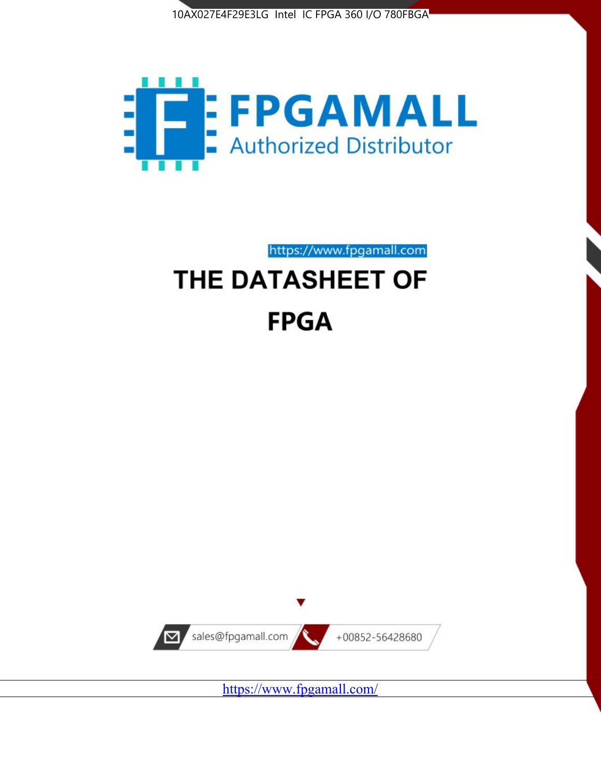



# https://www.fpgamall.com THE DATASHEET OF

# **FPGA**



<https://www.fpgamall.com/>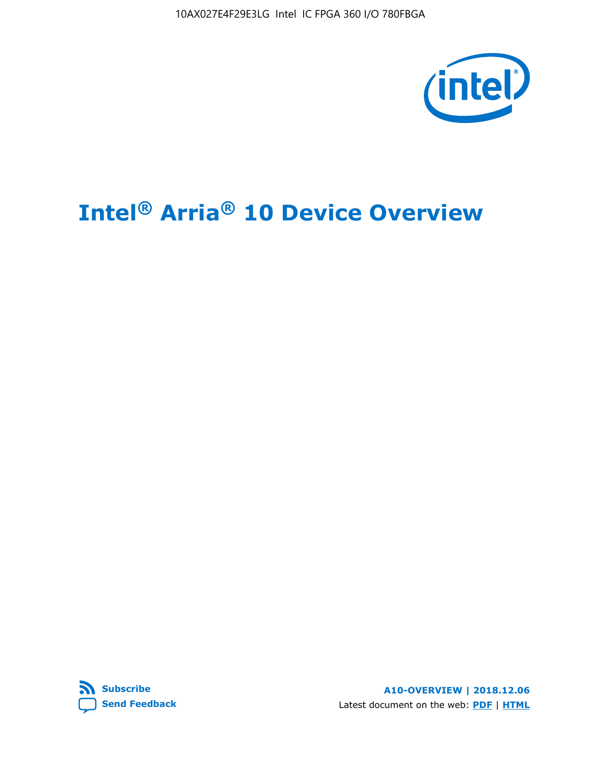10AX027E4F29E3LG Intel IC FPGA 360 I/O 780FBGA



# **Intel® Arria® 10 Device Overview**



**A10-OVERVIEW | 2018.12.06** Latest document on the web: **[PDF](https://www.intel.com/content/dam/www/programmable/us/en/pdfs/literature/hb/arria-10/a10_overview.pdf)** | **[HTML](https://www.intel.com/content/www/us/en/programmable/documentation/sam1403480274650.html)**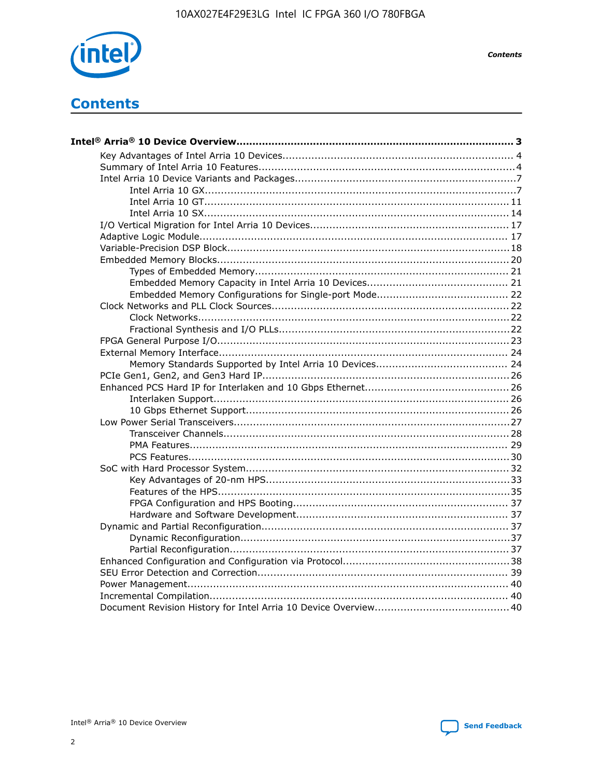

**Contents** 

# **Contents**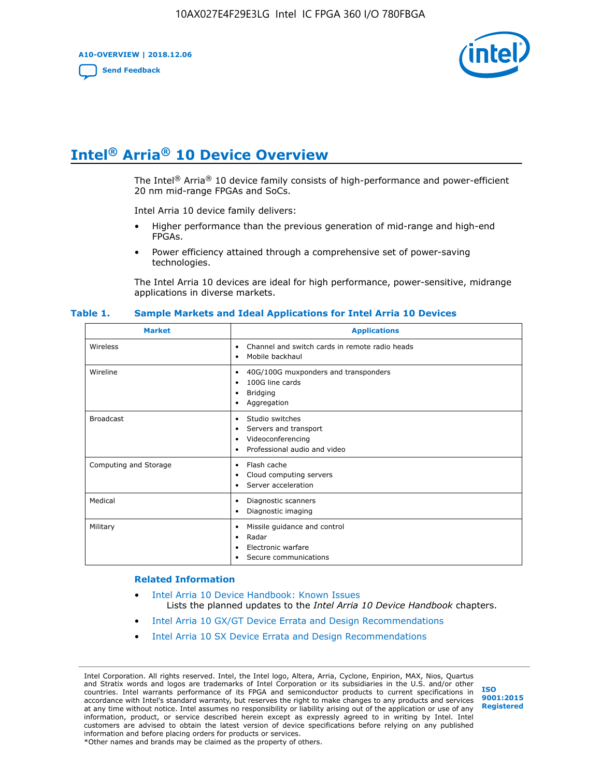**A10-OVERVIEW | 2018.12.06**

**[Send Feedback](mailto:FPGAtechdocfeedback@intel.com?subject=Feedback%20on%20Intel%20Arria%2010%20Device%20Overview%20(A10-OVERVIEW%202018.12.06)&body=We%20appreciate%20your%20feedback.%20In%20your%20comments,%20also%20specify%20the%20page%20number%20or%20paragraph.%20Thank%20you.)**



# **Intel® Arria® 10 Device Overview**

The Intel<sup>®</sup> Arria<sup>®</sup> 10 device family consists of high-performance and power-efficient 20 nm mid-range FPGAs and SoCs.

Intel Arria 10 device family delivers:

- Higher performance than the previous generation of mid-range and high-end FPGAs.
- Power efficiency attained through a comprehensive set of power-saving technologies.

The Intel Arria 10 devices are ideal for high performance, power-sensitive, midrange applications in diverse markets.

| <b>Market</b>         | <b>Applications</b>                                                                                               |
|-----------------------|-------------------------------------------------------------------------------------------------------------------|
| Wireless              | Channel and switch cards in remote radio heads<br>٠<br>Mobile backhaul<br>٠                                       |
| Wireline              | 40G/100G muxponders and transponders<br>٠<br>100G line cards<br>٠<br><b>Bridging</b><br>٠<br>Aggregation<br>٠     |
| <b>Broadcast</b>      | Studio switches<br>٠<br>Servers and transport<br>٠<br>Videoconferencing<br>٠<br>Professional audio and video<br>٠ |
| Computing and Storage | Flash cache<br>٠<br>Cloud computing servers<br>٠<br>Server acceleration<br>٠                                      |
| Medical               | Diagnostic scanners<br>٠<br>Diagnostic imaging<br>٠                                                               |
| Military              | Missile guidance and control<br>٠<br>Radar<br>٠<br>Electronic warfare<br>٠<br>Secure communications<br>٠          |

#### **Table 1. Sample Markets and Ideal Applications for Intel Arria 10 Devices**

#### **Related Information**

- [Intel Arria 10 Device Handbook: Known Issues](http://www.altera.com/support/kdb/solutions/rd07302013_646.html) Lists the planned updates to the *Intel Arria 10 Device Handbook* chapters.
- [Intel Arria 10 GX/GT Device Errata and Design Recommendations](https://www.intel.com/content/www/us/en/programmable/documentation/agz1493851706374.html#yqz1494433888646)
- [Intel Arria 10 SX Device Errata and Design Recommendations](https://www.intel.com/content/www/us/en/programmable/documentation/cru1462832385668.html#cru1462832558642)

Intel Corporation. All rights reserved. Intel, the Intel logo, Altera, Arria, Cyclone, Enpirion, MAX, Nios, Quartus and Stratix words and logos are trademarks of Intel Corporation or its subsidiaries in the U.S. and/or other countries. Intel warrants performance of its FPGA and semiconductor products to current specifications in accordance with Intel's standard warranty, but reserves the right to make changes to any products and services at any time without notice. Intel assumes no responsibility or liability arising out of the application or use of any information, product, or service described herein except as expressly agreed to in writing by Intel. Intel customers are advised to obtain the latest version of device specifications before relying on any published information and before placing orders for products or services. \*Other names and brands may be claimed as the property of others.

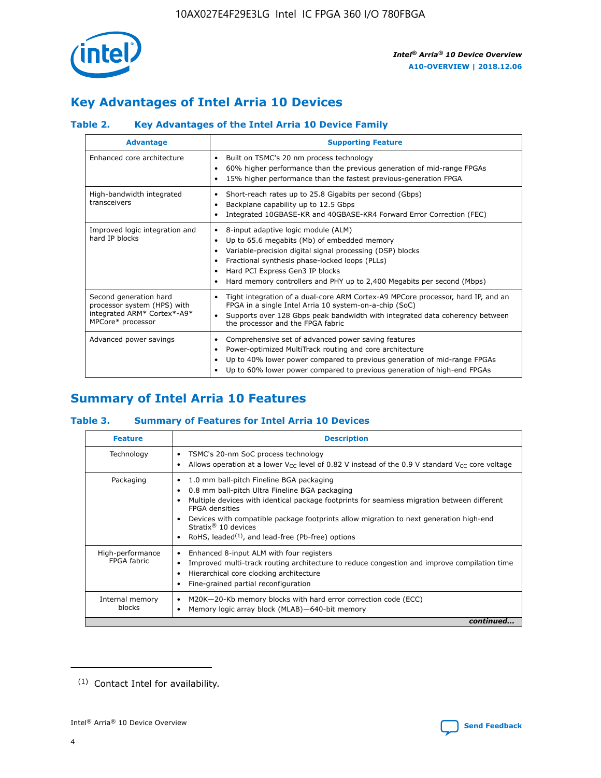

# **Key Advantages of Intel Arria 10 Devices**

# **Table 2. Key Advantages of the Intel Arria 10 Device Family**

| <b>Advantage</b>                                                                                          | <b>Supporting Feature</b>                                                                                                                                                                                                                                                                                                |
|-----------------------------------------------------------------------------------------------------------|--------------------------------------------------------------------------------------------------------------------------------------------------------------------------------------------------------------------------------------------------------------------------------------------------------------------------|
| Enhanced core architecture                                                                                | Built on TSMC's 20 nm process technology<br>٠<br>60% higher performance than the previous generation of mid-range FPGAs<br>٠<br>15% higher performance than the fastest previous-generation FPGA<br>٠                                                                                                                    |
| High-bandwidth integrated<br>transceivers                                                                 | Short-reach rates up to 25.8 Gigabits per second (Gbps)<br>٠<br>Backplane capability up to 12.5 Gbps<br>٠<br>Integrated 10GBASE-KR and 40GBASE-KR4 Forward Error Correction (FEC)<br>٠                                                                                                                                   |
| Improved logic integration and<br>hard IP blocks                                                          | 8-input adaptive logic module (ALM)<br>٠<br>Up to 65.6 megabits (Mb) of embedded memory<br>٠<br>Variable-precision digital signal processing (DSP) blocks<br>Fractional synthesis phase-locked loops (PLLs)<br>Hard PCI Express Gen3 IP blocks<br>Hard memory controllers and PHY up to 2,400 Megabits per second (Mbps) |
| Second generation hard<br>processor system (HPS) with<br>integrated ARM* Cortex*-A9*<br>MPCore* processor | Tight integration of a dual-core ARM Cortex-A9 MPCore processor, hard IP, and an<br>٠<br>FPGA in a single Intel Arria 10 system-on-a-chip (SoC)<br>Supports over 128 Gbps peak bandwidth with integrated data coherency between<br>$\bullet$<br>the processor and the FPGA fabric                                        |
| Advanced power savings                                                                                    | Comprehensive set of advanced power saving features<br>٠<br>Power-optimized MultiTrack routing and core architecture<br>٠<br>Up to 40% lower power compared to previous generation of mid-range FPGAs<br>Up to 60% lower power compared to previous generation of high-end FPGAs                                         |

# **Summary of Intel Arria 10 Features**

## **Table 3. Summary of Features for Intel Arria 10 Devices**

| <b>Feature</b>                  | <b>Description</b>                                                                                                                                                                                                                                                                                                                                                                                 |
|---------------------------------|----------------------------------------------------------------------------------------------------------------------------------------------------------------------------------------------------------------------------------------------------------------------------------------------------------------------------------------------------------------------------------------------------|
| Technology                      | TSMC's 20-nm SoC process technology<br>Allows operation at a lower $V_{\text{CC}}$ level of 0.82 V instead of the 0.9 V standard $V_{\text{CC}}$ core voltage                                                                                                                                                                                                                                      |
| Packaging                       | 1.0 mm ball-pitch Fineline BGA packaging<br>٠<br>0.8 mm ball-pitch Ultra Fineline BGA packaging<br>Multiple devices with identical package footprints for seamless migration between different<br><b>FPGA</b> densities<br>Devices with compatible package footprints allow migration to next generation high-end<br>Stratix $@10$ devices<br>RoHS, leaded $(1)$ , and lead-free (Pb-free) options |
| High-performance<br>FPGA fabric | Enhanced 8-input ALM with four registers<br>Improved multi-track routing architecture to reduce congestion and improve compilation time<br>Hierarchical core clocking architecture<br>Fine-grained partial reconfiguration                                                                                                                                                                         |
| Internal memory<br>blocks       | M20K-20-Kb memory blocks with hard error correction code (ECC)<br>Memory logic array block (MLAB)-640-bit memory                                                                                                                                                                                                                                                                                   |
|                                 | continued                                                                                                                                                                                                                                                                                                                                                                                          |



<sup>(1)</sup> Contact Intel for availability.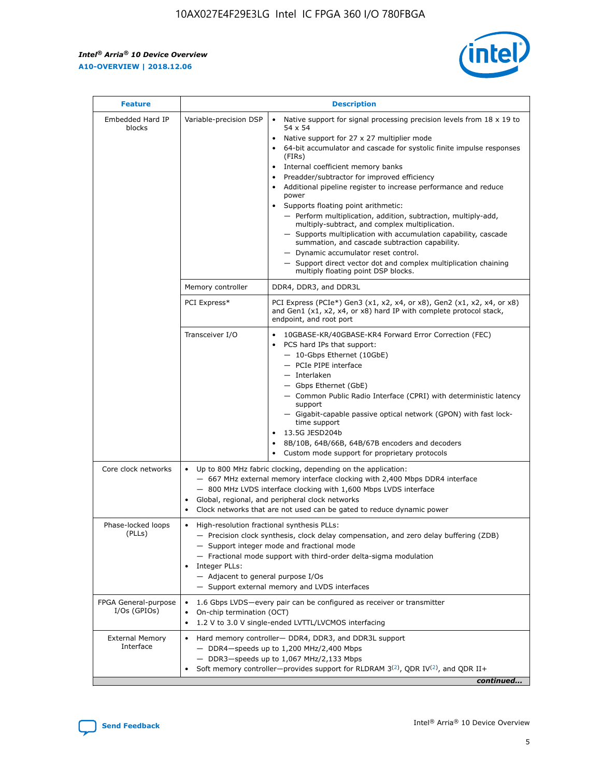$\mathsf{r}$ 



| <b>Feature</b>                         |                                                                                                                | <b>Description</b>                                                                                                                                                                                                                                                                                                                                                                                                                                                                                                                                                                                                                                                                                                                                                                                                                          |
|----------------------------------------|----------------------------------------------------------------------------------------------------------------|---------------------------------------------------------------------------------------------------------------------------------------------------------------------------------------------------------------------------------------------------------------------------------------------------------------------------------------------------------------------------------------------------------------------------------------------------------------------------------------------------------------------------------------------------------------------------------------------------------------------------------------------------------------------------------------------------------------------------------------------------------------------------------------------------------------------------------------------|
| Embedded Hard IP<br>blocks             | Variable-precision DSP                                                                                         | Native support for signal processing precision levels from $18 \times 19$ to<br>$\bullet$<br>54 x 54<br>Native support for 27 x 27 multiplier mode<br>64-bit accumulator and cascade for systolic finite impulse responses<br>(FIRS)<br>Internal coefficient memory banks<br>٠<br>Preadder/subtractor for improved efficiency<br>Additional pipeline register to increase performance and reduce<br>power<br>Supports floating point arithmetic:<br>- Perform multiplication, addition, subtraction, multiply-add,<br>multiply-subtract, and complex multiplication.<br>- Supports multiplication with accumulation capability, cascade<br>summation, and cascade subtraction capability.<br>- Dynamic accumulator reset control.<br>- Support direct vector dot and complex multiplication chaining<br>multiply floating point DSP blocks. |
|                                        | Memory controller                                                                                              | DDR4, DDR3, and DDR3L                                                                                                                                                                                                                                                                                                                                                                                                                                                                                                                                                                                                                                                                                                                                                                                                                       |
|                                        | PCI Express*                                                                                                   | PCI Express (PCIe*) Gen3 (x1, x2, x4, or x8), Gen2 (x1, x2, x4, or x8)<br>and Gen1 (x1, x2, x4, or x8) hard IP with complete protocol stack,<br>endpoint, and root port                                                                                                                                                                                                                                                                                                                                                                                                                                                                                                                                                                                                                                                                     |
|                                        | Transceiver I/O                                                                                                | 10GBASE-KR/40GBASE-KR4 Forward Error Correction (FEC)<br>PCS hard IPs that support:<br>- 10-Gbps Ethernet (10GbE)<br>- PCIe PIPE interface<br>- Interlaken<br>- Gbps Ethernet (GbE)<br>- Common Public Radio Interface (CPRI) with deterministic latency<br>support<br>- Gigabit-capable passive optical network (GPON) with fast lock-<br>time support<br>13.5G JESD204b<br>8B/10B, 64B/66B, 64B/67B encoders and decoders<br>Custom mode support for proprietary protocols                                                                                                                                                                                                                                                                                                                                                                |
| Core clock networks                    | $\bullet$                                                                                                      | Up to 800 MHz fabric clocking, depending on the application:<br>- 667 MHz external memory interface clocking with 2,400 Mbps DDR4 interface<br>- 800 MHz LVDS interface clocking with 1,600 Mbps LVDS interface<br>Global, regional, and peripheral clock networks<br>Clock networks that are not used can be gated to reduce dynamic power                                                                                                                                                                                                                                                                                                                                                                                                                                                                                                 |
| Phase-locked loops<br>(PLLs)           | High-resolution fractional synthesis PLLs:<br>$\bullet$<br>Integer PLLs:<br>- Adjacent to general purpose I/Os | - Precision clock synthesis, clock delay compensation, and zero delay buffering (ZDB)<br>- Support integer mode and fractional mode<br>- Fractional mode support with third-order delta-sigma modulation<br>- Support external memory and LVDS interfaces                                                                                                                                                                                                                                                                                                                                                                                                                                                                                                                                                                                   |
| FPGA General-purpose<br>$I/Os$ (GPIOs) | On-chip termination (OCT)<br>$\bullet$                                                                         | 1.6 Gbps LVDS-every pair can be configured as receiver or transmitter<br>1.2 V to 3.0 V single-ended LVTTL/LVCMOS interfacing                                                                                                                                                                                                                                                                                                                                                                                                                                                                                                                                                                                                                                                                                                               |
| <b>External Memory</b><br>Interface    |                                                                                                                | Hard memory controller- DDR4, DDR3, and DDR3L support<br>$-$ DDR4 $-$ speeds up to 1,200 MHz/2,400 Mbps<br>- DDR3-speeds up to 1,067 MHz/2,133 Mbps<br>Soft memory controller—provides support for RLDRAM $3^{(2)}$ , QDR IV $(2)$ , and QDR II+<br>continued                                                                                                                                                                                                                                                                                                                                                                                                                                                                                                                                                                               |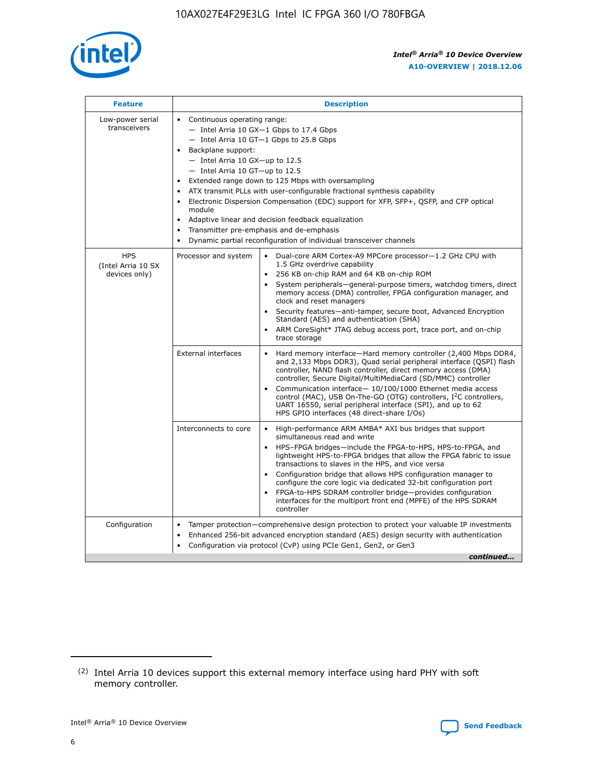

| <b>Feature</b>                                    | <b>Description</b>                                                                                                                                                                                                                                                                                                                                                                                                                                                                                                                                                                                                                                                        |
|---------------------------------------------------|---------------------------------------------------------------------------------------------------------------------------------------------------------------------------------------------------------------------------------------------------------------------------------------------------------------------------------------------------------------------------------------------------------------------------------------------------------------------------------------------------------------------------------------------------------------------------------------------------------------------------------------------------------------------------|
| Low-power serial<br>transceivers                  | • Continuous operating range:<br>- Intel Arria 10 GX-1 Gbps to 17.4 Gbps<br>$-$ Intel Arria 10 GT $-1$ Gbps to 25.8 Gbps<br>Backplane support:<br>$\bullet$<br>$-$ Intel Arria 10 GX-up to 12.5<br>$-$ Intel Arria 10 GT-up to 12.5<br>Extended range down to 125 Mbps with oversampling<br>ATX transmit PLLs with user-configurable fractional synthesis capability<br>Electronic Dispersion Compensation (EDC) support for XFP, SFP+, OSFP, and CFP optical<br>module<br>Adaptive linear and decision feedback equalization<br>$\bullet$<br>Transmitter pre-emphasis and de-emphasis<br>$\bullet$<br>Dynamic partial reconfiguration of individual transceiver channels |
| <b>HPS</b><br>(Intel Arria 10 SX<br>devices only) | Dual-core ARM Cortex-A9 MPCore processor-1.2 GHz CPU with<br>Processor and system<br>$\bullet$<br>1.5 GHz overdrive capability<br>256 KB on-chip RAM and 64 KB on-chip ROM<br>System peripherals-general-purpose timers, watchdog timers, direct<br>memory access (DMA) controller, FPGA configuration manager, and<br>clock and reset managers<br>• Security features—anti-tamper, secure boot, Advanced Encryption<br>Standard (AES) and authentication (SHA)<br>ARM CoreSight* JTAG debug access port, trace port, and on-chip<br>$\bullet$<br>trace storage                                                                                                           |
|                                                   | <b>External interfaces</b><br>Hard memory interface—Hard memory controller (2,400 Mbps DDR4,<br>and 2,133 Mbps DDR3), Quad serial peripheral interface (QSPI) flash<br>controller, NAND flash controller, direct memory access (DMA)<br>controller, Secure Digital/MultiMediaCard (SD/MMC) controller<br>Communication interface-10/100/1000 Ethernet media access<br>$\bullet$<br>control (MAC), USB On-The-GO (OTG) controllers, I <sup>2</sup> C controllers,<br>UART 16550, serial peripheral interface (SPI), and up to 62<br>HPS GPIO interfaces (48 direct-share I/Os)                                                                                             |
|                                                   | Interconnects to core<br>• High-performance ARM AMBA* AXI bus bridges that support<br>simultaneous read and write<br>HPS-FPGA bridges-include the FPGA-to-HPS, HPS-to-FPGA, and<br>$\bullet$<br>lightweight HPS-to-FPGA bridges that allow the FPGA fabric to issue<br>transactions to slaves in the HPS, and vice versa<br>Configuration bridge that allows HPS configuration manager to<br>configure the core logic via dedicated 32-bit configuration port<br>FPGA-to-HPS SDRAM controller bridge-provides configuration<br>interfaces for the multiport front end (MPFE) of the HPS SDRAM<br>controller                                                               |
| Configuration                                     | Tamper protection—comprehensive design protection to protect your valuable IP investments<br>Enhanced 256-bit advanced encryption standard (AES) design security with authentication<br>$\bullet$<br>Configuration via protocol (CvP) using PCIe Gen1, Gen2, or Gen3<br>continued                                                                                                                                                                                                                                                                                                                                                                                         |

<sup>(2)</sup> Intel Arria 10 devices support this external memory interface using hard PHY with soft memory controller.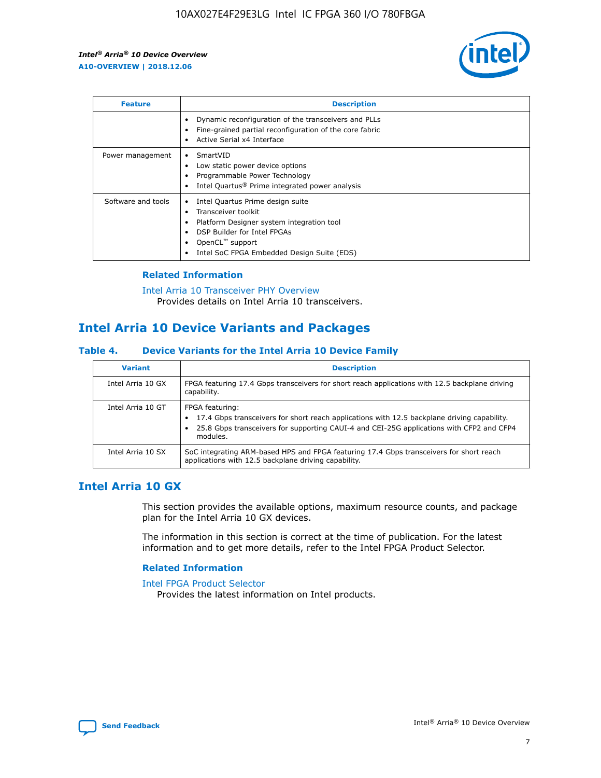

| <b>Feature</b>     | <b>Description</b>                                                                                                                                                                                                    |
|--------------------|-----------------------------------------------------------------------------------------------------------------------------------------------------------------------------------------------------------------------|
|                    | Dynamic reconfiguration of the transceivers and PLLs<br>Fine-grained partial reconfiguration of the core fabric<br>Active Serial x4 Interface<br>٠                                                                    |
| Power management   | SmartVID<br>Low static power device options<br>Programmable Power Technology<br>Intel Quartus <sup>®</sup> Prime integrated power analysis                                                                            |
| Software and tools | Intel Quartus Prime design suite<br>Transceiver toolkit<br>Platform Designer system integration tool<br>٠<br>DSP Builder for Intel FPGAs<br>OpenCL <sup>™</sup> support<br>Intel SoC FPGA Embedded Design Suite (EDS) |

## **Related Information**

[Intel Arria 10 Transceiver PHY Overview](https://www.intel.com/content/www/us/en/programmable/documentation/nik1398707230472.html#nik1398706768037) Provides details on Intel Arria 10 transceivers.

# **Intel Arria 10 Device Variants and Packages**

#### **Table 4. Device Variants for the Intel Arria 10 Device Family**

| <b>Variant</b>    | <b>Description</b>                                                                                                                                                                                                     |
|-------------------|------------------------------------------------------------------------------------------------------------------------------------------------------------------------------------------------------------------------|
| Intel Arria 10 GX | FPGA featuring 17.4 Gbps transceivers for short reach applications with 12.5 backplane driving<br>capability.                                                                                                          |
| Intel Arria 10 GT | FPGA featuring:<br>17.4 Gbps transceivers for short reach applications with 12.5 backplane driving capability.<br>25.8 Gbps transceivers for supporting CAUI-4 and CEI-25G applications with CFP2 and CFP4<br>modules. |
| Intel Arria 10 SX | SoC integrating ARM-based HPS and FPGA featuring 17.4 Gbps transceivers for short reach<br>applications with 12.5 backplane driving capability.                                                                        |

# **Intel Arria 10 GX**

This section provides the available options, maximum resource counts, and package plan for the Intel Arria 10 GX devices.

The information in this section is correct at the time of publication. For the latest information and to get more details, refer to the Intel FPGA Product Selector.

#### **Related Information**

#### [Intel FPGA Product Selector](http://www.altera.com/products/selector/psg-selector.html) Provides the latest information on Intel products.

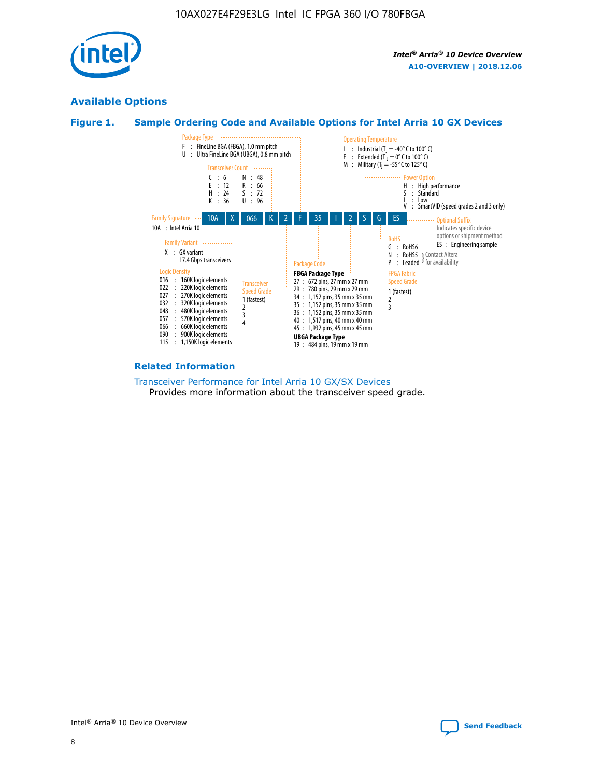

# **Available Options**





#### **Related Information**

[Transceiver Performance for Intel Arria 10 GX/SX Devices](https://www.intel.com/content/www/us/en/programmable/documentation/mcn1413182292568.html#mcn1413213965502) Provides more information about the transceiver speed grade.

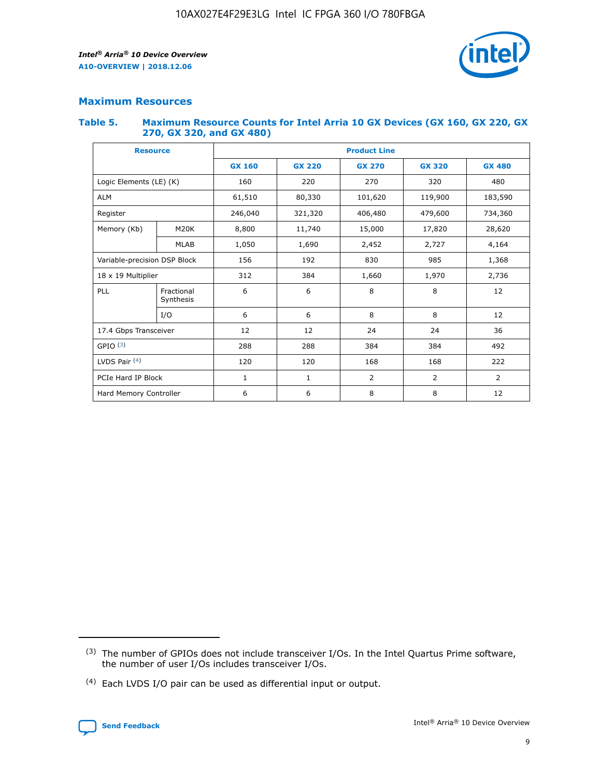

# **Maximum Resources**

#### **Table 5. Maximum Resource Counts for Intel Arria 10 GX Devices (GX 160, GX 220, GX 270, GX 320, and GX 480)**

| <b>Resource</b>                |                              | <b>Product Line</b> |               |                |                |                |  |  |  |
|--------------------------------|------------------------------|---------------------|---------------|----------------|----------------|----------------|--|--|--|
|                                |                              | <b>GX 160</b>       | <b>GX 220</b> | <b>GX 270</b>  | <b>GX 320</b>  | <b>GX 480</b>  |  |  |  |
| Logic Elements (LE) (K)        |                              | 160                 | 220           | 270            | 320            | 480            |  |  |  |
| <b>ALM</b>                     |                              | 61,510              | 80,330        | 101,620        | 119,900        | 183,590        |  |  |  |
| Register                       |                              | 246,040             | 321,320       | 406,480        | 479,600        | 734,360        |  |  |  |
| Memory (Kb)                    | M <sub>20</sub> K            | 8,800               | 11,740        | 15,000         | 17,820         | 28,620         |  |  |  |
| <b>MLAB</b>                    |                              | 1,050               | 1,690         | 2,452<br>2,727 |                | 4,164          |  |  |  |
|                                | Variable-precision DSP Block |                     | 156<br>192    |                | 985            | 1,368          |  |  |  |
| 18 x 19 Multiplier             |                              | 312                 | 384           | 1,970<br>1,660 |                | 2,736          |  |  |  |
| PLL<br>Fractional<br>Synthesis |                              | 6                   | 6             | 8              | 8              | 12             |  |  |  |
|                                | I/O                          | 6                   | 6             | 8              | 8              | 12             |  |  |  |
| 17.4 Gbps Transceiver          |                              | 12                  | 12            | 24             | 24             | 36             |  |  |  |
| GPIO <sup>(3)</sup>            |                              | 288<br>288<br>384   |               |                | 384            | 492            |  |  |  |
| LVDS Pair $(4)$                |                              | 120                 | 120           | 168            | 168            | 222            |  |  |  |
| PCIe Hard IP Block             |                              | 1                   | 1             | 2              | $\overline{2}$ | $\overline{2}$ |  |  |  |
| Hard Memory Controller         |                              | 6                   | 6             | 8              | 8              | 12             |  |  |  |

<sup>(4)</sup> Each LVDS I/O pair can be used as differential input or output.



<sup>(3)</sup> The number of GPIOs does not include transceiver I/Os. In the Intel Quartus Prime software, the number of user I/Os includes transceiver I/Os.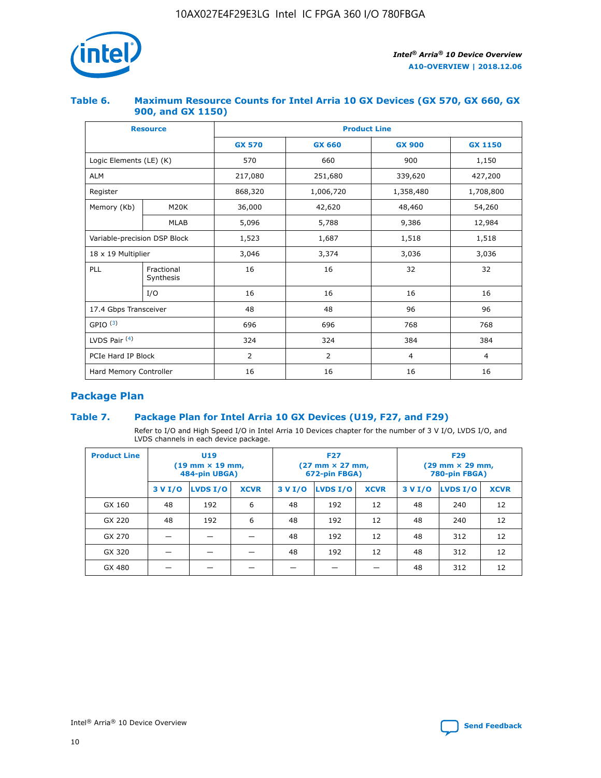

## **Table 6. Maximum Resource Counts for Intel Arria 10 GX Devices (GX 570, GX 660, GX 900, and GX 1150)**

|                              | <b>Resource</b>         | <b>Product Line</b> |               |                |                |  |  |  |
|------------------------------|-------------------------|---------------------|---------------|----------------|----------------|--|--|--|
|                              |                         | <b>GX 570</b>       | <b>GX 660</b> | <b>GX 900</b>  | <b>GX 1150</b> |  |  |  |
| Logic Elements (LE) (K)      |                         | 570                 | 660           | 900            | 1,150          |  |  |  |
| <b>ALM</b>                   |                         | 217,080             | 251,680       | 339,620        | 427,200        |  |  |  |
| Register                     |                         | 868,320             | 1,006,720     | 1,358,480      | 1,708,800      |  |  |  |
| Memory (Kb)<br><b>M20K</b>   |                         | 36,000              | 42,620        | 48,460         | 54,260         |  |  |  |
| <b>MLAB</b>                  |                         | 5,096               | 5,788         |                | 12,984         |  |  |  |
| Variable-precision DSP Block |                         | 1,523               | 1,687         | 1,518          | 1,518          |  |  |  |
| $18 \times 19$ Multiplier    |                         | 3,046               | 3,374         | 3,036          | 3,036          |  |  |  |
| PLL                          | Fractional<br>Synthesis | 16                  | 16            | 32             | 32             |  |  |  |
| I/O                          |                         | 16                  | 16            | 16             | 16             |  |  |  |
| 17.4 Gbps Transceiver        |                         | 48                  | 48            | 96             | 96             |  |  |  |
| GPIO <sup>(3)</sup>          |                         | 696                 | 696           | 768            | 768            |  |  |  |
| LVDS Pair $(4)$              |                         | 324                 | 324           | 384            | 384            |  |  |  |
| PCIe Hard IP Block           |                         | 2                   | 2             | $\overline{4}$ | $\overline{4}$ |  |  |  |
| Hard Memory Controller       |                         | 16                  | 16            | 16             | 16             |  |  |  |

# **Package Plan**

# **Table 7. Package Plan for Intel Arria 10 GX Devices (U19, F27, and F29)**

Refer to I/O and High Speed I/O in Intel Arria 10 Devices chapter for the number of 3 V I/O, LVDS I/O, and LVDS channels in each device package.

| <b>Product Line</b> |         | U <sub>19</sub><br>$(19 \text{ mm} \times 19 \text{ mm})$<br>484-pin UBGA) |             |         | <b>F27</b><br>(27 mm × 27 mm,<br>672-pin FBGA) |             | <b>F29</b><br>$(29 \text{ mm} \times 29 \text{ mm})$<br>780-pin FBGA) |          |             |  |
|---------------------|---------|----------------------------------------------------------------------------|-------------|---------|------------------------------------------------|-------------|-----------------------------------------------------------------------|----------|-------------|--|
|                     | 3 V I/O | LVDS I/O                                                                   | <b>XCVR</b> | 3 V I/O | LVDS I/O                                       | <b>XCVR</b> | 3 V I/O                                                               | LVDS I/O | <b>XCVR</b> |  |
| GX 160              | 48      | 192                                                                        | 6           | 48      | 192                                            | 12          | 48                                                                    | 240      | 12          |  |
| GX 220              | 48      | 192                                                                        | 6           | 48      | 192                                            | 12          | 48                                                                    | 240      | 12          |  |
| GX 270              |         |                                                                            |             | 48      | 192                                            | 12          | 48                                                                    | 312      | 12          |  |
| GX 320              |         |                                                                            |             | 48      | 192                                            | 12          | 48                                                                    | 312      | 12          |  |
| GX 480              |         |                                                                            |             |         |                                                |             | 48                                                                    | 312      | 12          |  |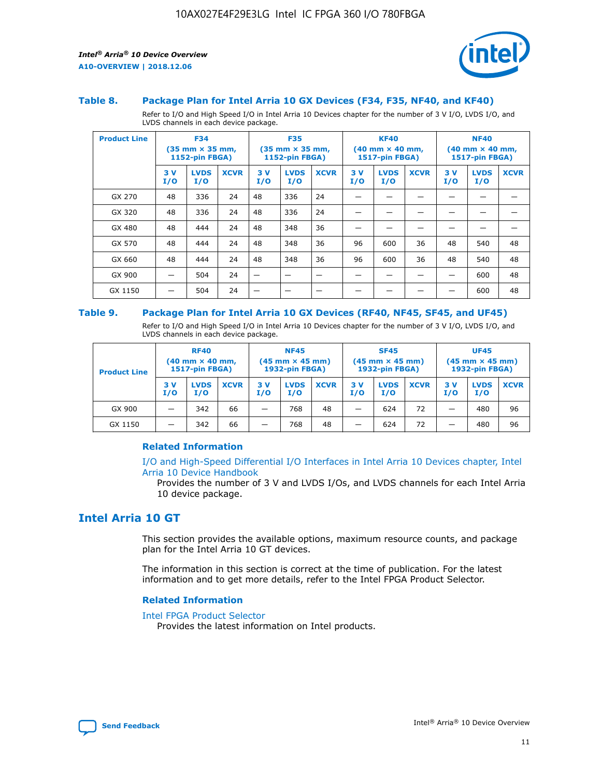

#### **Table 8. Package Plan for Intel Arria 10 GX Devices (F34, F35, NF40, and KF40)**

Refer to I/O and High Speed I/O in Intel Arria 10 Devices chapter for the number of 3 V I/O, LVDS I/O, and LVDS channels in each device package.

| <b>Product Line</b> |           | <b>F34</b><br>$(35 \text{ mm} \times 35 \text{ mm})$<br>1152-pin FBGA) |             | <b>F35</b><br>$(35 \text{ mm} \times 35 \text{ mm})$<br><b>1152-pin FBGA)</b> |                    | <b>KF40</b><br>$(40$ mm $\times$ 40 mm,<br>1517-pin FBGA) |           |                    | <b>NF40</b><br>$(40$ mm $\times$ 40 mm,<br><b>1517-pin FBGA)</b> |            |                    |             |
|---------------------|-----------|------------------------------------------------------------------------|-------------|-------------------------------------------------------------------------------|--------------------|-----------------------------------------------------------|-----------|--------------------|------------------------------------------------------------------|------------|--------------------|-------------|
|                     | 3V<br>I/O | <b>LVDS</b><br>I/O                                                     | <b>XCVR</b> | 3V<br>I/O                                                                     | <b>LVDS</b><br>I/O | <b>XCVR</b>                                               | 3V<br>I/O | <b>LVDS</b><br>I/O | <b>XCVR</b>                                                      | 3 V<br>I/O | <b>LVDS</b><br>I/O | <b>XCVR</b> |
| GX 270              | 48        | 336                                                                    | 24          | 48                                                                            | 336                | 24                                                        |           |                    |                                                                  |            |                    |             |
| GX 320              | 48        | 336                                                                    | 24          | 48                                                                            | 336                | 24                                                        |           |                    |                                                                  |            |                    |             |
| GX 480              | 48        | 444                                                                    | 24          | 48                                                                            | 348                | 36                                                        |           |                    |                                                                  |            |                    |             |
| GX 570              | 48        | 444                                                                    | 24          | 48                                                                            | 348                | 36                                                        | 96        | 600                | 36                                                               | 48         | 540                | 48          |
| GX 660              | 48        | 444                                                                    | 24          | 48                                                                            | 348                | 36                                                        | 96        | 600                | 36                                                               | 48         | 540                | 48          |
| GX 900              |           | 504                                                                    | 24          | -                                                                             |                    |                                                           |           |                    |                                                                  |            | 600                | 48          |
| GX 1150             |           | 504                                                                    | 24          |                                                                               |                    |                                                           |           |                    |                                                                  |            | 600                | 48          |

#### **Table 9. Package Plan for Intel Arria 10 GX Devices (RF40, NF45, SF45, and UF45)**

Refer to I/O and High Speed I/O in Intel Arria 10 Devices chapter for the number of 3 V I/O, LVDS I/O, and LVDS channels in each device package.

| <b>Product Line</b> | <b>RF40</b><br>$(40$ mm $\times$ 40 mm,<br>1517-pin FBGA) |                    | <b>NF45</b><br>$(45 \text{ mm} \times 45 \text{ mm})$<br><b>1932-pin FBGA)</b> |            |                    | <b>SF45</b><br>$(45 \text{ mm} \times 45 \text{ mm})$<br><b>1932-pin FBGA)</b> |            |                    | <b>UF45</b><br>$(45 \text{ mm} \times 45 \text{ mm})$<br><b>1932-pin FBGA)</b> |           |                    |             |
|---------------------|-----------------------------------------------------------|--------------------|--------------------------------------------------------------------------------|------------|--------------------|--------------------------------------------------------------------------------|------------|--------------------|--------------------------------------------------------------------------------|-----------|--------------------|-------------|
|                     | 3V<br>I/O                                                 | <b>LVDS</b><br>I/O | <b>XCVR</b>                                                                    | 3 V<br>I/O | <b>LVDS</b><br>I/O | <b>XCVR</b>                                                                    | 3 V<br>I/O | <b>LVDS</b><br>I/O | <b>XCVR</b>                                                                    | 3V<br>I/O | <b>LVDS</b><br>I/O | <b>XCVR</b> |
| GX 900              |                                                           | 342                | 66                                                                             | _          | 768                | 48                                                                             |            | 624                | 72                                                                             |           | 480                | 96          |
| GX 1150             |                                                           | 342                | 66                                                                             | _          | 768                | 48                                                                             |            | 624                | 72                                                                             |           | 480                | 96          |

## **Related Information**

[I/O and High-Speed Differential I/O Interfaces in Intel Arria 10 Devices chapter, Intel](https://www.intel.com/content/www/us/en/programmable/documentation/sam1403482614086.html#sam1403482030321) [Arria 10 Device Handbook](https://www.intel.com/content/www/us/en/programmable/documentation/sam1403482614086.html#sam1403482030321)

Provides the number of 3 V and LVDS I/Os, and LVDS channels for each Intel Arria 10 device package.

# **Intel Arria 10 GT**

This section provides the available options, maximum resource counts, and package plan for the Intel Arria 10 GT devices.

The information in this section is correct at the time of publication. For the latest information and to get more details, refer to the Intel FPGA Product Selector.

#### **Related Information**

#### [Intel FPGA Product Selector](http://www.altera.com/products/selector/psg-selector.html)

Provides the latest information on Intel products.

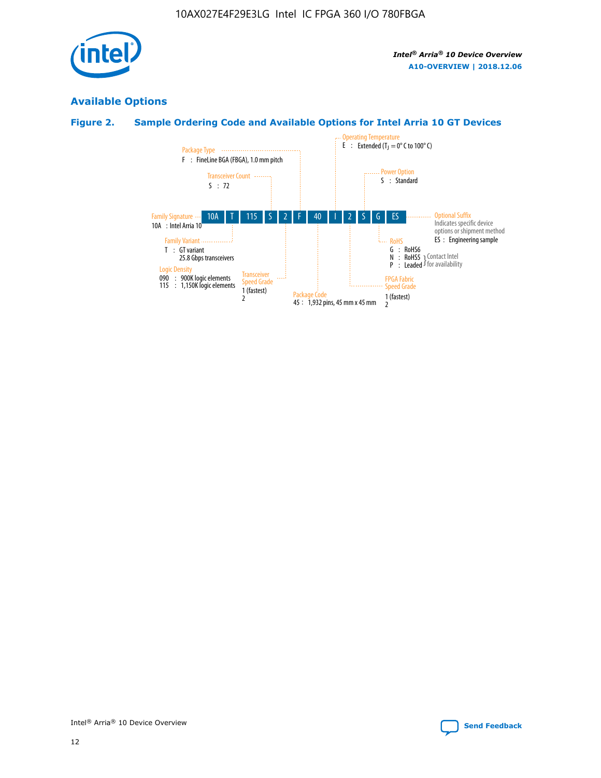

# **Available Options**

# **Figure 2. Sample Ordering Code and Available Options for Intel Arria 10 GT Devices**

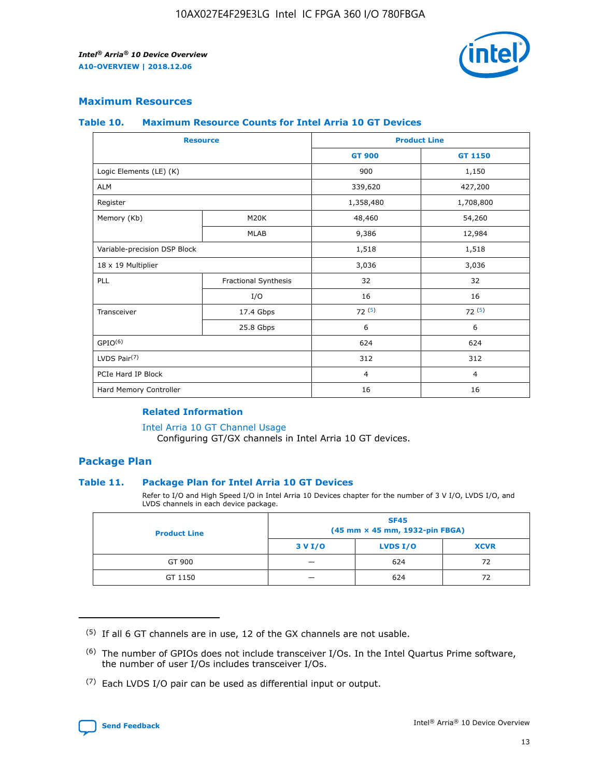

## **Maximum Resources**

#### **Table 10. Maximum Resource Counts for Intel Arria 10 GT Devices**

| <b>Resource</b>              |                      | <b>Product Line</b> |                |  |
|------------------------------|----------------------|---------------------|----------------|--|
|                              |                      | <b>GT 900</b>       | GT 1150        |  |
| Logic Elements (LE) (K)      |                      | 900                 | 1,150          |  |
| <b>ALM</b>                   |                      | 339,620             | 427,200        |  |
| Register                     |                      | 1,358,480           | 1,708,800      |  |
| Memory (Kb)                  | M <sub>20</sub> K    | 48,460              | 54,260         |  |
|                              | <b>MLAB</b>          | 9,386               | 12,984         |  |
| Variable-precision DSP Block |                      | 1,518               | 1,518          |  |
| 18 x 19 Multiplier           |                      | 3,036               | 3,036          |  |
| PLL                          | Fractional Synthesis | 32                  | 32             |  |
|                              | I/O                  | 16                  | 16             |  |
| Transceiver                  | 17.4 Gbps            | 72(5)               | 72(5)          |  |
|                              | 25.8 Gbps            | 6                   | 6              |  |
| GPIO <sup>(6)</sup>          |                      | 624                 | 624            |  |
| LVDS Pair $(7)$              |                      | 312                 | 312            |  |
| PCIe Hard IP Block           |                      | $\overline{4}$      | $\overline{4}$ |  |
| Hard Memory Controller       |                      | 16                  | 16             |  |

#### **Related Information**

#### [Intel Arria 10 GT Channel Usage](https://www.intel.com/content/www/us/en/programmable/documentation/nik1398707230472.html#nik1398707008178)

Configuring GT/GX channels in Intel Arria 10 GT devices.

## **Package Plan**

## **Table 11. Package Plan for Intel Arria 10 GT Devices**

Refer to I/O and High Speed I/O in Intel Arria 10 Devices chapter for the number of 3 V I/O, LVDS I/O, and LVDS channels in each device package.

| <b>Product Line</b> | <b>SF45</b><br>(45 mm × 45 mm, 1932-pin FBGA) |                 |             |  |  |  |  |
|---------------------|-----------------------------------------------|-----------------|-------------|--|--|--|--|
|                     | 3 V I/O                                       | <b>LVDS I/O</b> | <b>XCVR</b> |  |  |  |  |
| GT 900              |                                               | 624             | 72          |  |  |  |  |
| GT 1150             |                                               | 624             | 72          |  |  |  |  |

<sup>(7)</sup> Each LVDS I/O pair can be used as differential input or output.



 $(5)$  If all 6 GT channels are in use, 12 of the GX channels are not usable.

<sup>(6)</sup> The number of GPIOs does not include transceiver I/Os. In the Intel Quartus Prime software, the number of user I/Os includes transceiver I/Os.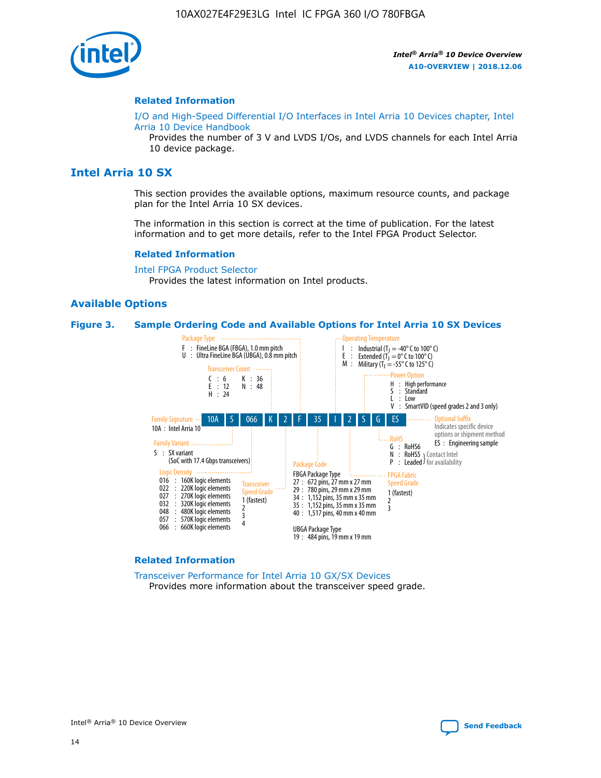

#### **Related Information**

[I/O and High-Speed Differential I/O Interfaces in Intel Arria 10 Devices chapter, Intel](https://www.intel.com/content/www/us/en/programmable/documentation/sam1403482614086.html#sam1403482030321) [Arria 10 Device Handbook](https://www.intel.com/content/www/us/en/programmable/documentation/sam1403482614086.html#sam1403482030321)

Provides the number of 3 V and LVDS I/Os, and LVDS channels for each Intel Arria 10 device package.

# **Intel Arria 10 SX**

This section provides the available options, maximum resource counts, and package plan for the Intel Arria 10 SX devices.

The information in this section is correct at the time of publication. For the latest information and to get more details, refer to the Intel FPGA Product Selector.

#### **Related Information**

[Intel FPGA Product Selector](http://www.altera.com/products/selector/psg-selector.html) Provides the latest information on Intel products.

## **Available Options**

#### **Figure 3. Sample Ordering Code and Available Options for Intel Arria 10 SX Devices**



#### **Related Information**

[Transceiver Performance for Intel Arria 10 GX/SX Devices](https://www.intel.com/content/www/us/en/programmable/documentation/mcn1413182292568.html#mcn1413213965502) Provides more information about the transceiver speed grade.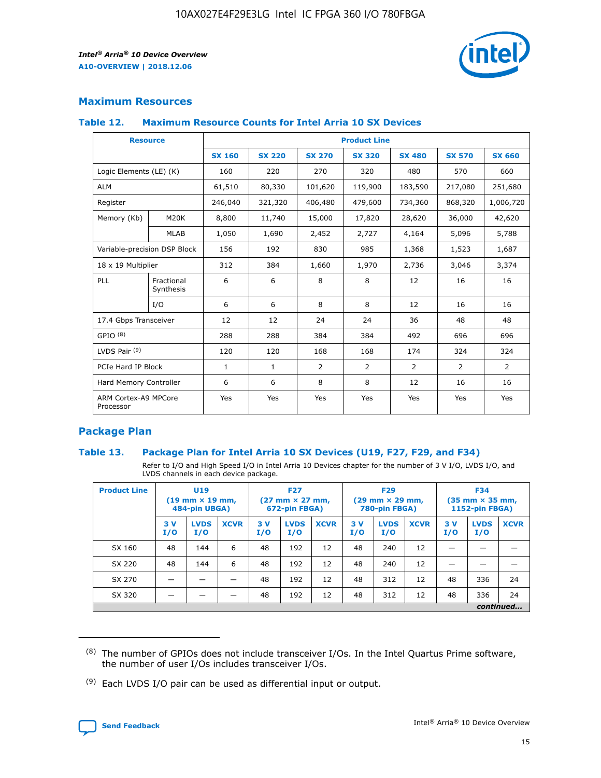

# **Maximum Resources**

## **Table 12. Maximum Resource Counts for Intel Arria 10 SX Devices**

| <b>Resource</b>                   |                         | <b>Product Line</b> |               |               |                |               |               |               |  |  |  |
|-----------------------------------|-------------------------|---------------------|---------------|---------------|----------------|---------------|---------------|---------------|--|--|--|
|                                   |                         | <b>SX 160</b>       | <b>SX 220</b> | <b>SX 270</b> | <b>SX 320</b>  | <b>SX 480</b> | <b>SX 570</b> | <b>SX 660</b> |  |  |  |
| Logic Elements (LE) (K)           |                         | 160                 | 220           | 270           | 320            | 480           | 570           | 660           |  |  |  |
| <b>ALM</b>                        |                         | 61,510              | 80,330        | 101,620       | 119,900        | 183,590       | 217,080       | 251,680       |  |  |  |
| Register                          |                         | 246,040             | 321,320       | 406,480       | 479,600        | 734,360       | 868,320       | 1,006,720     |  |  |  |
| Memory (Kb)                       | M20K                    | 8,800               | 11,740        | 15,000        | 17,820         | 28,620        | 36,000        | 42,620        |  |  |  |
|                                   | <b>MLAB</b>             | 1,050               | 1,690         | 2,452         | 2,727          | 4,164         | 5,096         | 5,788         |  |  |  |
| Variable-precision DSP Block      |                         | 156                 | 192           | 830           | 985            | 1,368         | 1,523         | 1,687         |  |  |  |
| 18 x 19 Multiplier                |                         | 312                 | 384           | 1,660         | 1,970          | 2,736         | 3,046         | 3,374         |  |  |  |
| PLL                               | Fractional<br>Synthesis | 6                   | 6             | 8             | 8              | 12            | 16            | 16            |  |  |  |
|                                   | I/O                     | 6                   | 6             | 8             | 8              | 12            | 16            | 16            |  |  |  |
| 17.4 Gbps Transceiver             |                         | 12                  | 12            | 24            | 24             | 36            | 48            | 48            |  |  |  |
| GPIO <sup>(8)</sup>               |                         | 288                 | 288           | 384           | 384            | 492           | 696           | 696           |  |  |  |
| LVDS Pair $(9)$                   |                         | 120                 | 120           | 168           | 168            | 174           | 324           | 324           |  |  |  |
| PCIe Hard IP Block                |                         | $\mathbf{1}$        | $\mathbf{1}$  | 2             | $\overline{2}$ | 2             | 2             | 2             |  |  |  |
| Hard Memory Controller            |                         | 6                   | 6             | 8             | 8              | 12            | 16            | 16            |  |  |  |
| ARM Cortex-A9 MPCore<br>Processor |                         | Yes                 | Yes           | Yes           | Yes            | Yes           | Yes           | Yes           |  |  |  |

# **Package Plan**

## **Table 13. Package Plan for Intel Arria 10 SX Devices (U19, F27, F29, and F34)**

Refer to I/O and High Speed I/O in Intel Arria 10 Devices chapter for the number of 3 V I/O, LVDS I/O, and LVDS channels in each device package.

| <b>Product Line</b> | U19<br>$(19 \text{ mm} \times 19 \text{ mm})$<br>484-pin UBGA) |                    | <b>F27</b><br>$(27 \text{ mm} \times 27 \text{ mm})$<br>672-pin FBGA) |           | <b>F29</b><br>$(29 \text{ mm} \times 29 \text{ mm})$<br>780-pin FBGA) |             |            | <b>F34</b><br>$(35 \text{ mm} \times 35 \text{ mm})$<br><b>1152-pin FBGA)</b> |             |           |                    |             |
|---------------------|----------------------------------------------------------------|--------------------|-----------------------------------------------------------------------|-----------|-----------------------------------------------------------------------|-------------|------------|-------------------------------------------------------------------------------|-------------|-----------|--------------------|-------------|
|                     | 3V<br>I/O                                                      | <b>LVDS</b><br>I/O | <b>XCVR</b>                                                           | 3V<br>I/O | <b>LVDS</b><br>I/O                                                    | <b>XCVR</b> | 3 V<br>I/O | <b>LVDS</b><br>I/O                                                            | <b>XCVR</b> | 3V<br>I/O | <b>LVDS</b><br>I/O | <b>XCVR</b> |
| SX 160              | 48                                                             | 144                | 6                                                                     | 48        | 192                                                                   | 12          | 48         | 240                                                                           | 12          | –         |                    |             |
| SX 220              | 48                                                             | 144                | 6                                                                     | 48        | 192                                                                   | 12          | 48         | 240                                                                           | 12          |           |                    |             |
| SX 270              |                                                                |                    |                                                                       | 48        | 192                                                                   | 12          | 48         | 312                                                                           | 12          | 48        | 336                | 24          |
| SX 320              |                                                                |                    |                                                                       | 48        | 192                                                                   | 12          | 48         | 312                                                                           | 12          | 48        | 336                | 24          |
|                     |                                                                |                    |                                                                       |           |                                                                       |             |            |                                                                               |             |           |                    | continued   |

 $(8)$  The number of GPIOs does not include transceiver I/Os. In the Intel Quartus Prime software, the number of user I/Os includes transceiver I/Os.

 $(9)$  Each LVDS I/O pair can be used as differential input or output.

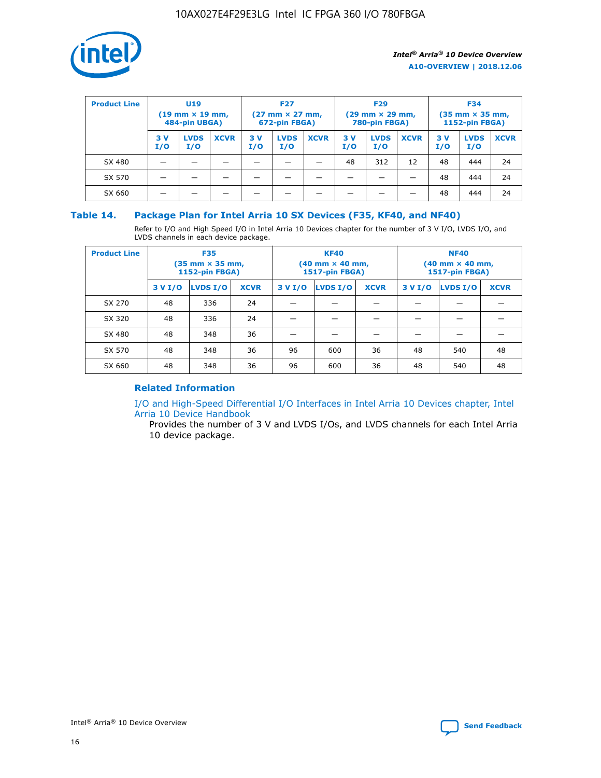

| <b>Product Line</b> | <b>U19</b><br>$(19 \text{ mm} \times 19 \text{ mm})$<br>484-pin UBGA) |                    | <b>F27</b><br>$(27 \text{ mm} \times 27 \text{ mm})$<br>672-pin FBGA) |           | <b>F29</b><br>$(29$ mm $\times$ 29 mm,<br>780-pin FBGA) |             |           | <b>F34</b><br>$(35$ mm $\times$ 35 mm,<br><b>1152-pin FBGA)</b> |             |           |                    |             |
|---------------------|-----------------------------------------------------------------------|--------------------|-----------------------------------------------------------------------|-----------|---------------------------------------------------------|-------------|-----------|-----------------------------------------------------------------|-------------|-----------|--------------------|-------------|
|                     | 3 V<br>I/O                                                            | <b>LVDS</b><br>I/O | <b>XCVR</b>                                                           | 3V<br>I/O | <b>LVDS</b><br>I/O                                      | <b>XCVR</b> | 3V<br>I/O | <b>LVDS</b><br>I/O                                              | <b>XCVR</b> | 3V<br>I/O | <b>LVDS</b><br>I/O | <b>XCVR</b> |
| SX 480              |                                                                       |                    |                                                                       |           |                                                         |             | 48        | 312                                                             | 12          | 48        | 444                | 24          |
| SX 570              |                                                                       |                    |                                                                       |           |                                                         |             |           |                                                                 |             | 48        | 444                | 24          |
| SX 660              |                                                                       |                    |                                                                       |           |                                                         |             |           |                                                                 |             | 48        | 444                | 24          |

## **Table 14. Package Plan for Intel Arria 10 SX Devices (F35, KF40, and NF40)**

Refer to I/O and High Speed I/O in Intel Arria 10 Devices chapter for the number of 3 V I/O, LVDS I/O, and LVDS channels in each device package.

| <b>Product Line</b> | <b>F35</b><br>(35 mm × 35 mm,<br><b>1152-pin FBGA)</b> |          |             |                                           | <b>KF40</b><br>(40 mm × 40 mm,<br>1517-pin FBGA) |    | <b>NF40</b><br>$(40 \text{ mm} \times 40 \text{ mm})$<br>1517-pin FBGA) |          |             |  |
|---------------------|--------------------------------------------------------|----------|-------------|-------------------------------------------|--------------------------------------------------|----|-------------------------------------------------------------------------|----------|-------------|--|
|                     | 3 V I/O                                                | LVDS I/O | <b>XCVR</b> | <b>LVDS I/O</b><br>3 V I/O<br><b>XCVR</b> |                                                  |    | 3 V I/O                                                                 | LVDS I/O | <b>XCVR</b> |  |
| SX 270              | 48                                                     | 336      | 24          |                                           |                                                  |    |                                                                         |          |             |  |
| SX 320              | 48                                                     | 336      | 24          |                                           |                                                  |    |                                                                         |          |             |  |
| SX 480              | 48                                                     | 348      | 36          |                                           |                                                  |    |                                                                         |          |             |  |
| SX 570              | 48                                                     | 348      | 36          | 96                                        | 600                                              | 36 | 48                                                                      | 540      | 48          |  |
| SX 660              | 48                                                     | 348      | 36          | 96                                        | 600                                              | 36 | 48                                                                      | 540      | 48          |  |

# **Related Information**

[I/O and High-Speed Differential I/O Interfaces in Intel Arria 10 Devices chapter, Intel](https://www.intel.com/content/www/us/en/programmable/documentation/sam1403482614086.html#sam1403482030321) [Arria 10 Device Handbook](https://www.intel.com/content/www/us/en/programmable/documentation/sam1403482614086.html#sam1403482030321)

Provides the number of 3 V and LVDS I/Os, and LVDS channels for each Intel Arria 10 device package.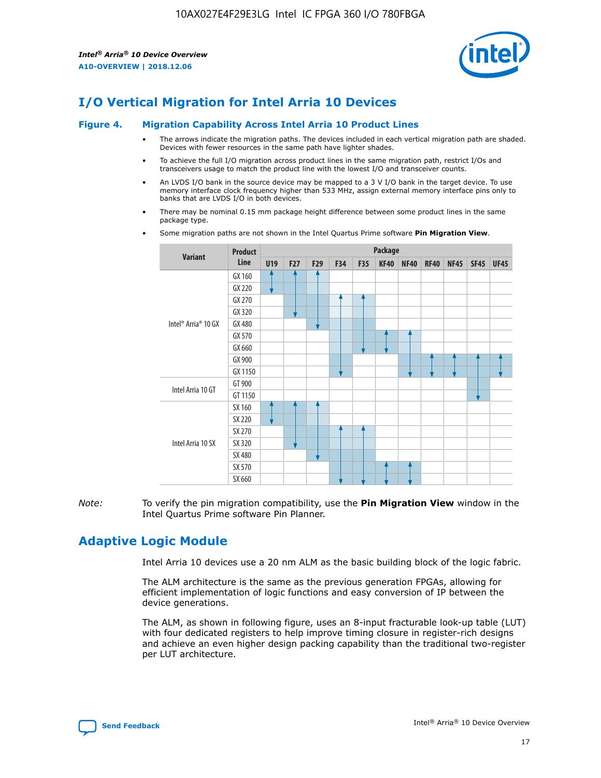

# **I/O Vertical Migration for Intel Arria 10 Devices**

#### **Figure 4. Migration Capability Across Intel Arria 10 Product Lines**

- The arrows indicate the migration paths. The devices included in each vertical migration path are shaded. Devices with fewer resources in the same path have lighter shades.
- To achieve the full I/O migration across product lines in the same migration path, restrict I/Os and transceivers usage to match the product line with the lowest I/O and transceiver counts.
- An LVDS I/O bank in the source device may be mapped to a 3 V I/O bank in the target device. To use memory interface clock frequency higher than 533 MHz, assign external memory interface pins only to banks that are LVDS I/O in both devices.
- There may be nominal 0.15 mm package height difference between some product lines in the same package type.
	- **Variant Product Line Package U19 F27 F29 F34 F35 KF40 NF40 RF40 NF45 SF45 UF45** Intel® Arria® 10 GX GX 160 GX 220 GX 270 GX 320 GX 480 GX 570 GX 660 GX 900 GX 1150 Intel Arria 10 GT GT 900 GT 1150 Intel Arria 10 SX SX 160 SX 220 SX 270 SX 320 SX 480 SX 570 SX 660
- Some migration paths are not shown in the Intel Quartus Prime software **Pin Migration View**.

*Note:* To verify the pin migration compatibility, use the **Pin Migration View** window in the Intel Quartus Prime software Pin Planner.

# **Adaptive Logic Module**

Intel Arria 10 devices use a 20 nm ALM as the basic building block of the logic fabric.

The ALM architecture is the same as the previous generation FPGAs, allowing for efficient implementation of logic functions and easy conversion of IP between the device generations.

The ALM, as shown in following figure, uses an 8-input fracturable look-up table (LUT) with four dedicated registers to help improve timing closure in register-rich designs and achieve an even higher design packing capability than the traditional two-register per LUT architecture.

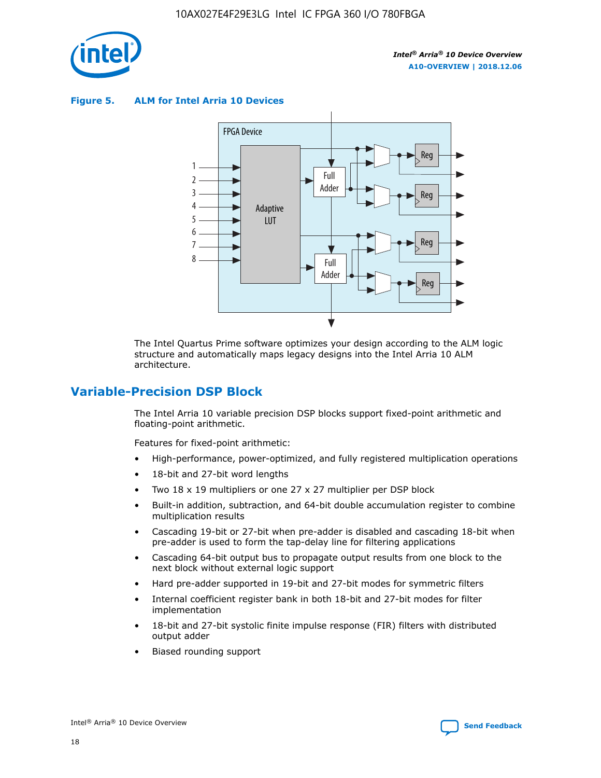

**Figure 5. ALM for Intel Arria 10 Devices**



The Intel Quartus Prime software optimizes your design according to the ALM logic structure and automatically maps legacy designs into the Intel Arria 10 ALM architecture.

# **Variable-Precision DSP Block**

The Intel Arria 10 variable precision DSP blocks support fixed-point arithmetic and floating-point arithmetic.

Features for fixed-point arithmetic:

- High-performance, power-optimized, and fully registered multiplication operations
- 18-bit and 27-bit word lengths
- Two 18 x 19 multipliers or one 27 x 27 multiplier per DSP block
- Built-in addition, subtraction, and 64-bit double accumulation register to combine multiplication results
- Cascading 19-bit or 27-bit when pre-adder is disabled and cascading 18-bit when pre-adder is used to form the tap-delay line for filtering applications
- Cascading 64-bit output bus to propagate output results from one block to the next block without external logic support
- Hard pre-adder supported in 19-bit and 27-bit modes for symmetric filters
- Internal coefficient register bank in both 18-bit and 27-bit modes for filter implementation
- 18-bit and 27-bit systolic finite impulse response (FIR) filters with distributed output adder
- Biased rounding support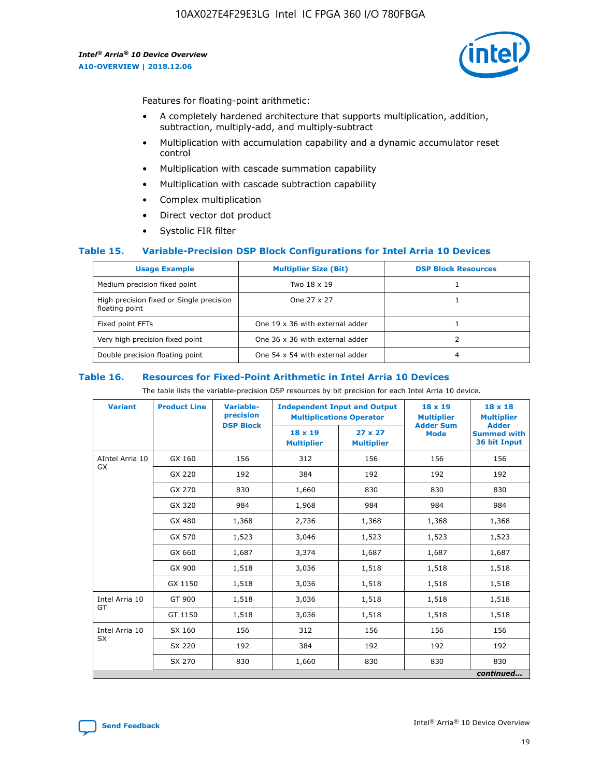

Features for floating-point arithmetic:

- A completely hardened architecture that supports multiplication, addition, subtraction, multiply-add, and multiply-subtract
- Multiplication with accumulation capability and a dynamic accumulator reset control
- Multiplication with cascade summation capability
- Multiplication with cascade subtraction capability
- Complex multiplication
- Direct vector dot product
- Systolic FIR filter

## **Table 15. Variable-Precision DSP Block Configurations for Intel Arria 10 Devices**

| <b>Usage Example</b>                                       | <b>Multiplier Size (Bit)</b>    | <b>DSP Block Resources</b> |
|------------------------------------------------------------|---------------------------------|----------------------------|
| Medium precision fixed point                               | Two 18 x 19                     |                            |
| High precision fixed or Single precision<br>floating point | One 27 x 27                     |                            |
| Fixed point FFTs                                           | One 19 x 36 with external adder |                            |
| Very high precision fixed point                            | One 36 x 36 with external adder |                            |
| Double precision floating point                            | One 54 x 54 with external adder | 4                          |

#### **Table 16. Resources for Fixed-Point Arithmetic in Intel Arria 10 Devices**

The table lists the variable-precision DSP resources by bit precision for each Intel Arria 10 device.

| <b>Variant</b>  | <b>Product Line</b> | <b>Variable-</b><br>precision<br><b>DSP Block</b> | <b>Independent Input and Output</b><br><b>Multiplications Operator</b> |                                     | 18 x 19<br><b>Multiplier</b><br><b>Adder Sum</b> | $18 \times 18$<br><b>Multiplier</b><br><b>Adder</b> |
|-----------------|---------------------|---------------------------------------------------|------------------------------------------------------------------------|-------------------------------------|--------------------------------------------------|-----------------------------------------------------|
|                 |                     |                                                   | 18 x 19<br><b>Multiplier</b>                                           | $27 \times 27$<br><b>Multiplier</b> | <b>Mode</b>                                      | <b>Summed with</b><br>36 bit Input                  |
| AIntel Arria 10 | GX 160              | 156                                               | 312                                                                    | 156                                 | 156                                              | 156                                                 |
| GX              | GX 220              | 192                                               | 384                                                                    | 192                                 | 192                                              | 192                                                 |
|                 | GX 270              | 830                                               | 1,660                                                                  | 830                                 | 830                                              | 830                                                 |
|                 | GX 320              | 984                                               | 1,968                                                                  | 984                                 | 984                                              | 984                                                 |
|                 | GX 480              | 1,368                                             | 2,736                                                                  | 1,368                               | 1,368                                            | 1,368                                               |
|                 | GX 570              | 1,523                                             | 3,046                                                                  | 1,523                               | 1,523                                            | 1,523                                               |
|                 | GX 660              | 1,687                                             | 3,374                                                                  | 1,687                               | 1,687                                            | 1,687                                               |
|                 | GX 900              | 1,518                                             | 3,036                                                                  | 1,518                               | 1,518                                            | 1,518                                               |
|                 | GX 1150             | 1,518                                             | 3,036                                                                  | 1,518                               | 1,518                                            | 1,518                                               |
| Intel Arria 10  | GT 900              | 1,518                                             | 3,036                                                                  | 1,518                               | 1,518                                            | 1,518                                               |
| GT              | GT 1150             | 1,518                                             | 3,036                                                                  | 1,518                               | 1,518                                            | 1,518                                               |
| Intel Arria 10  | SX 160              | 156                                               | 312                                                                    | 156                                 | 156                                              | 156                                                 |
| <b>SX</b>       | SX 220              | 192                                               | 384                                                                    | 192                                 | 192                                              | 192                                                 |
|                 | SX 270              | 830                                               | 1,660                                                                  | 830                                 | 830                                              | 830                                                 |
|                 |                     |                                                   |                                                                        |                                     |                                                  | continued                                           |

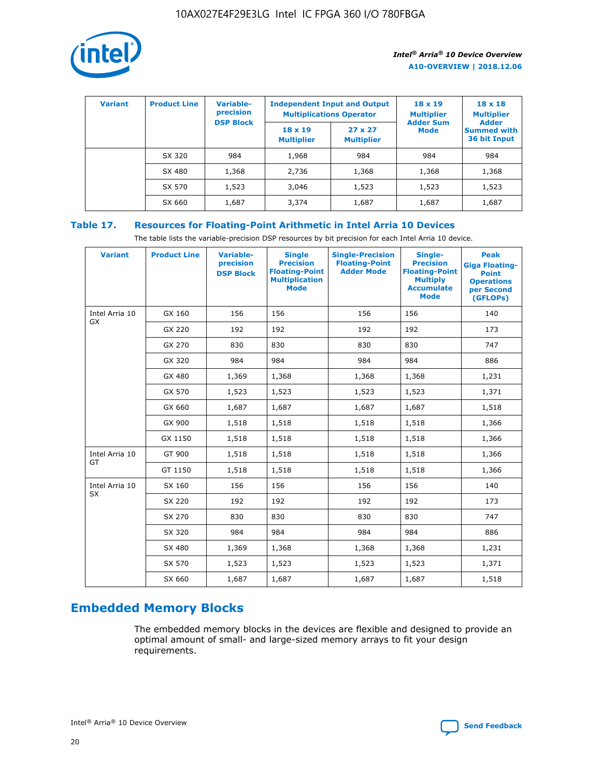

| <b>Variant</b> | <b>Product Line</b> | Variable-<br>precision | <b>Independent Input and Output</b><br><b>Multiplications Operator</b> |                                     | $18 \times 19$<br><b>Multiplier</b> | $18 \times 18$<br><b>Multiplier</b><br><b>Adder</b> |  |
|----------------|---------------------|------------------------|------------------------------------------------------------------------|-------------------------------------|-------------------------------------|-----------------------------------------------------|--|
|                |                     | <b>DSP Block</b>       | $18 \times 19$<br><b>Multiplier</b>                                    | $27 \times 27$<br><b>Multiplier</b> | <b>Adder Sum</b><br><b>Mode</b>     | <b>Summed with</b><br>36 bit Input                  |  |
|                | SX 320              | 984                    | 1,968                                                                  | 984                                 | 984                                 | 984                                                 |  |
|                | SX 480              | 1,368                  | 2,736                                                                  | 1,368                               | 1,368                               | 1,368                                               |  |
|                | SX 570              | 1,523                  | 3,046                                                                  | 1,523                               | 1,523                               | 1,523                                               |  |
|                | SX 660              | 1,687                  | 3,374                                                                  | 1,687                               | 1,687                               | 1,687                                               |  |

# **Table 17. Resources for Floating-Point Arithmetic in Intel Arria 10 Devices**

The table lists the variable-precision DSP resources by bit precision for each Intel Arria 10 device.

| <b>Variant</b>              | <b>Product Line</b> | <b>Variable-</b><br>precision<br><b>DSP Block</b> | <b>Single</b><br><b>Precision</b><br><b>Floating-Point</b><br><b>Multiplication</b><br><b>Mode</b> | <b>Single-Precision</b><br><b>Floating-Point</b><br><b>Adder Mode</b> | Single-<br><b>Precision</b><br><b>Floating-Point</b><br><b>Multiply</b><br><b>Accumulate</b><br><b>Mode</b> | <b>Peak</b><br><b>Giga Floating-</b><br><b>Point</b><br><b>Operations</b><br>per Second<br>(GFLOPs) |
|-----------------------------|---------------------|---------------------------------------------------|----------------------------------------------------------------------------------------------------|-----------------------------------------------------------------------|-------------------------------------------------------------------------------------------------------------|-----------------------------------------------------------------------------------------------------|
| Intel Arria 10<br><b>GX</b> | GX 160              | 156                                               | 156                                                                                                | 156                                                                   | 156                                                                                                         | 140                                                                                                 |
|                             | GX 220              | 192                                               | 192                                                                                                | 192                                                                   | 192                                                                                                         | 173                                                                                                 |
|                             | GX 270              | 830                                               | 830                                                                                                | 830                                                                   | 830                                                                                                         | 747                                                                                                 |
|                             | GX 320              | 984                                               | 984                                                                                                | 984                                                                   | 984                                                                                                         | 886                                                                                                 |
|                             | GX 480              | 1,369                                             | 1,368                                                                                              | 1,368                                                                 | 1,368                                                                                                       | 1,231                                                                                               |
|                             | GX 570              | 1,523                                             | 1,523                                                                                              | 1,523                                                                 | 1,523                                                                                                       | 1,371                                                                                               |
|                             | GX 660              | 1,687                                             | 1,687                                                                                              | 1,687                                                                 | 1,687                                                                                                       | 1,518                                                                                               |
|                             | GX 900              | 1,518                                             | 1,518                                                                                              | 1,518                                                                 | 1,518                                                                                                       | 1,366                                                                                               |
|                             | GX 1150             | 1,518                                             | 1,518                                                                                              | 1,518                                                                 | 1,518                                                                                                       | 1,366                                                                                               |
| Intel Arria 10              | GT 900              | 1,518                                             | 1,518                                                                                              | 1,518                                                                 | 1,518                                                                                                       | 1,366                                                                                               |
| GT                          | GT 1150             | 1,518                                             | 1,518                                                                                              | 1,518                                                                 | 1,518                                                                                                       | 1,366                                                                                               |
| Intel Arria 10              | SX 160              | 156                                               | 156                                                                                                | 156                                                                   | 156                                                                                                         | 140                                                                                                 |
| <b>SX</b>                   | SX 220              | 192                                               | 192                                                                                                | 192                                                                   | 192                                                                                                         | 173                                                                                                 |
|                             | SX 270              | 830                                               | 830                                                                                                | 830                                                                   | 830                                                                                                         | 747                                                                                                 |
|                             | SX 320              | 984                                               | 984                                                                                                | 984                                                                   | 984                                                                                                         | 886                                                                                                 |
|                             | SX 480              | 1,369                                             | 1,368                                                                                              | 1,368                                                                 | 1,368                                                                                                       | 1,231                                                                                               |
|                             | SX 570              | 1,523                                             | 1,523                                                                                              | 1,523                                                                 | 1,523                                                                                                       | 1,371                                                                                               |
|                             | SX 660              | 1,687                                             | 1,687                                                                                              | 1,687                                                                 | 1,687                                                                                                       | 1,518                                                                                               |

# **Embedded Memory Blocks**

The embedded memory blocks in the devices are flexible and designed to provide an optimal amount of small- and large-sized memory arrays to fit your design requirements.

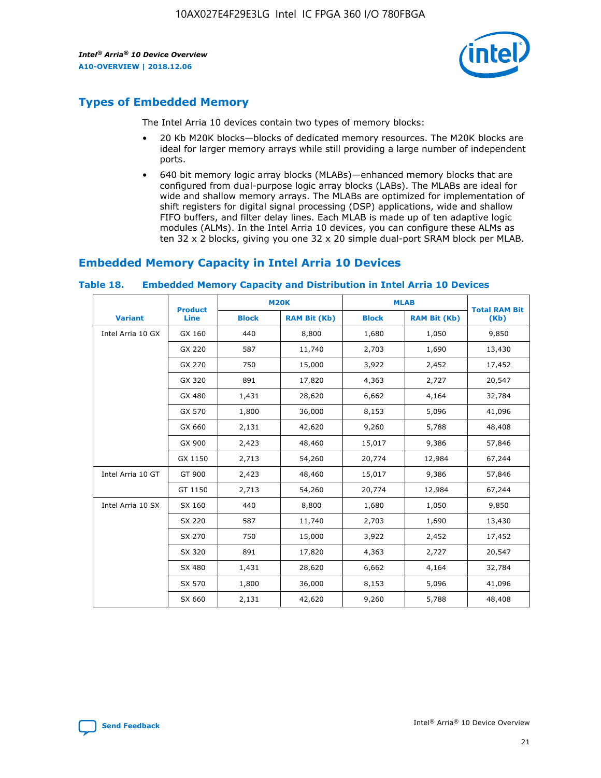

# **Types of Embedded Memory**

The Intel Arria 10 devices contain two types of memory blocks:

- 20 Kb M20K blocks—blocks of dedicated memory resources. The M20K blocks are ideal for larger memory arrays while still providing a large number of independent ports.
- 640 bit memory logic array blocks (MLABs)—enhanced memory blocks that are configured from dual-purpose logic array blocks (LABs). The MLABs are ideal for wide and shallow memory arrays. The MLABs are optimized for implementation of shift registers for digital signal processing (DSP) applications, wide and shallow FIFO buffers, and filter delay lines. Each MLAB is made up of ten adaptive logic modules (ALMs). In the Intel Arria 10 devices, you can configure these ALMs as ten 32 x 2 blocks, giving you one 32 x 20 simple dual-port SRAM block per MLAB.

# **Embedded Memory Capacity in Intel Arria 10 Devices**

|                   | <b>Product</b> |              | <b>M20K</b>         | <b>MLAB</b>  |                     | <b>Total RAM Bit</b> |
|-------------------|----------------|--------------|---------------------|--------------|---------------------|----------------------|
| <b>Variant</b>    | Line           | <b>Block</b> | <b>RAM Bit (Kb)</b> | <b>Block</b> | <b>RAM Bit (Kb)</b> | (Kb)                 |
| Intel Arria 10 GX | GX 160         | 440          | 8,800               | 1,680        | 1,050               | 9,850                |
|                   | GX 220         | 587          | 11,740              | 2,703        | 1,690               | 13,430               |
|                   | GX 270         | 750          | 15,000              | 3,922        | 2,452               | 17,452               |
|                   | GX 320         | 891          | 17,820              | 4,363        | 2,727               | 20,547               |
|                   | GX 480         | 1,431        | 28,620              | 6,662        | 4,164               | 32,784               |
|                   | GX 570         | 1,800        | 36,000              | 8,153        | 5,096               | 41,096               |
|                   | GX 660         | 2,131        | 42,620              | 9,260        | 5,788               | 48,408               |
|                   | GX 900         | 2,423        | 48,460              | 15,017       | 9,386               | 57,846               |
|                   | GX 1150        | 2,713        | 54,260              | 20,774       | 12,984              | 67,244               |
| Intel Arria 10 GT | GT 900         | 2,423        | 48,460              | 15,017       | 9,386               | 57,846               |
|                   | GT 1150        | 2,713        | 54,260              | 20,774       | 12,984              | 67,244               |
| Intel Arria 10 SX | SX 160         | 440          | 8,800               | 1,680        | 1,050               | 9,850                |
|                   | SX 220         | 587          | 11,740              | 2,703        | 1,690               | 13,430               |
|                   | SX 270         | 750          | 15,000              | 3,922        | 2,452               | 17,452               |
|                   | SX 320         | 891          | 17,820              | 4,363        | 2,727               | 20,547               |
|                   | SX 480         | 1,431        | 28,620              | 6,662        | 4,164               | 32,784               |
|                   | SX 570         | 1,800        | 36,000              | 8,153        | 5,096               | 41,096               |
|                   | SX 660         | 2,131        | 42,620              | 9,260        | 5,788               | 48,408               |

#### **Table 18. Embedded Memory Capacity and Distribution in Intel Arria 10 Devices**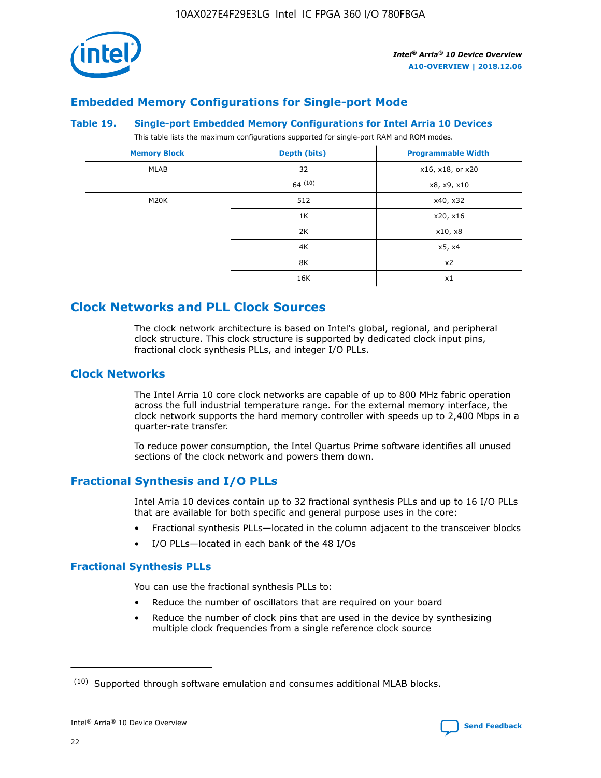

# **Embedded Memory Configurations for Single-port Mode**

## **Table 19. Single-port Embedded Memory Configurations for Intel Arria 10 Devices**

This table lists the maximum configurations supported for single-port RAM and ROM modes.

| <b>Memory Block</b> | Depth (bits) | <b>Programmable Width</b> |
|---------------------|--------------|---------------------------|
| MLAB                | 32           | x16, x18, or x20          |
|                     | 64(10)       | x8, x9, x10               |
| M20K                | 512          | x40, x32                  |
|                     | 1K           | x20, x16                  |
|                     | 2K           | x10, x8                   |
|                     | 4K           | x5, x4                    |
|                     | 8K           | x2                        |
|                     | 16K          | x1                        |

# **Clock Networks and PLL Clock Sources**

The clock network architecture is based on Intel's global, regional, and peripheral clock structure. This clock structure is supported by dedicated clock input pins, fractional clock synthesis PLLs, and integer I/O PLLs.

# **Clock Networks**

The Intel Arria 10 core clock networks are capable of up to 800 MHz fabric operation across the full industrial temperature range. For the external memory interface, the clock network supports the hard memory controller with speeds up to 2,400 Mbps in a quarter-rate transfer.

To reduce power consumption, the Intel Quartus Prime software identifies all unused sections of the clock network and powers them down.

# **Fractional Synthesis and I/O PLLs**

Intel Arria 10 devices contain up to 32 fractional synthesis PLLs and up to 16 I/O PLLs that are available for both specific and general purpose uses in the core:

- Fractional synthesis PLLs—located in the column adjacent to the transceiver blocks
- I/O PLLs—located in each bank of the 48 I/Os

## **Fractional Synthesis PLLs**

You can use the fractional synthesis PLLs to:

- Reduce the number of oscillators that are required on your board
- Reduce the number of clock pins that are used in the device by synthesizing multiple clock frequencies from a single reference clock source

<sup>(10)</sup> Supported through software emulation and consumes additional MLAB blocks.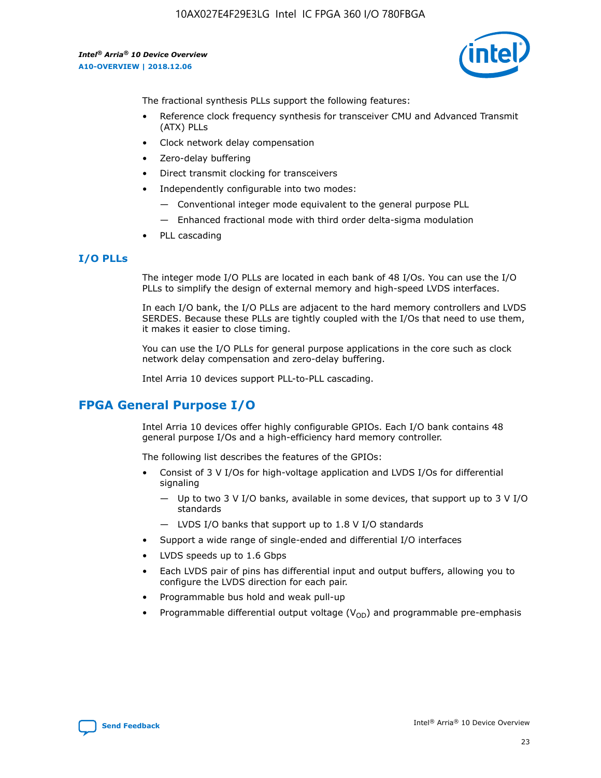

The fractional synthesis PLLs support the following features:

- Reference clock frequency synthesis for transceiver CMU and Advanced Transmit (ATX) PLLs
- Clock network delay compensation
- Zero-delay buffering
- Direct transmit clocking for transceivers
- Independently configurable into two modes:
	- Conventional integer mode equivalent to the general purpose PLL
	- Enhanced fractional mode with third order delta-sigma modulation
- PLL cascading

# **I/O PLLs**

The integer mode I/O PLLs are located in each bank of 48 I/Os. You can use the I/O PLLs to simplify the design of external memory and high-speed LVDS interfaces.

In each I/O bank, the I/O PLLs are adjacent to the hard memory controllers and LVDS SERDES. Because these PLLs are tightly coupled with the I/Os that need to use them, it makes it easier to close timing.

You can use the I/O PLLs for general purpose applications in the core such as clock network delay compensation and zero-delay buffering.

Intel Arria 10 devices support PLL-to-PLL cascading.

# **FPGA General Purpose I/O**

Intel Arria 10 devices offer highly configurable GPIOs. Each I/O bank contains 48 general purpose I/Os and a high-efficiency hard memory controller.

The following list describes the features of the GPIOs:

- Consist of 3 V I/Os for high-voltage application and LVDS I/Os for differential signaling
	- Up to two 3 V I/O banks, available in some devices, that support up to 3 V I/O standards
	- LVDS I/O banks that support up to 1.8 V I/O standards
- Support a wide range of single-ended and differential I/O interfaces
- LVDS speeds up to 1.6 Gbps
- Each LVDS pair of pins has differential input and output buffers, allowing you to configure the LVDS direction for each pair.
- Programmable bus hold and weak pull-up
- Programmable differential output voltage  $(V_{OD})$  and programmable pre-emphasis

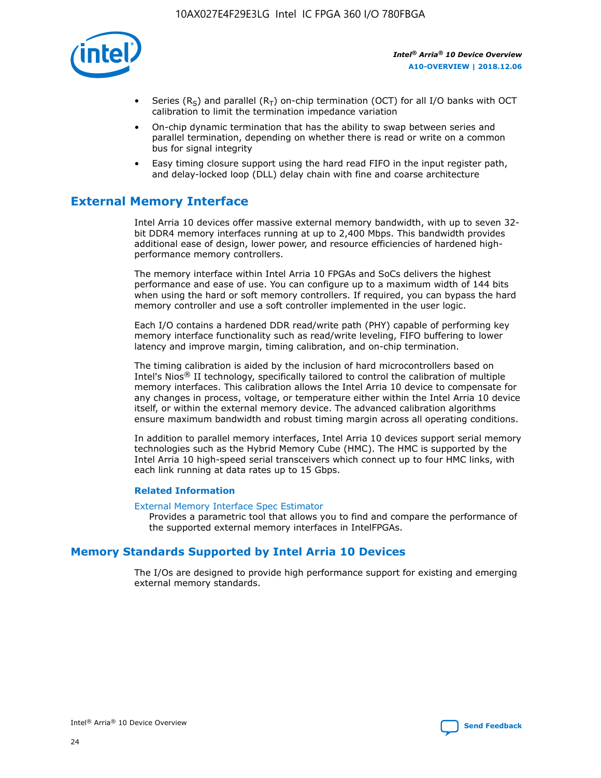

- Series (R<sub>S</sub>) and parallel (R<sub>T</sub>) on-chip termination (OCT) for all I/O banks with OCT calibration to limit the termination impedance variation
- On-chip dynamic termination that has the ability to swap between series and parallel termination, depending on whether there is read or write on a common bus for signal integrity
- Easy timing closure support using the hard read FIFO in the input register path, and delay-locked loop (DLL) delay chain with fine and coarse architecture

# **External Memory Interface**

Intel Arria 10 devices offer massive external memory bandwidth, with up to seven 32 bit DDR4 memory interfaces running at up to 2,400 Mbps. This bandwidth provides additional ease of design, lower power, and resource efficiencies of hardened highperformance memory controllers.

The memory interface within Intel Arria 10 FPGAs and SoCs delivers the highest performance and ease of use. You can configure up to a maximum width of 144 bits when using the hard or soft memory controllers. If required, you can bypass the hard memory controller and use a soft controller implemented in the user logic.

Each I/O contains a hardened DDR read/write path (PHY) capable of performing key memory interface functionality such as read/write leveling, FIFO buffering to lower latency and improve margin, timing calibration, and on-chip termination.

The timing calibration is aided by the inclusion of hard microcontrollers based on Intel's Nios® II technology, specifically tailored to control the calibration of multiple memory interfaces. This calibration allows the Intel Arria 10 device to compensate for any changes in process, voltage, or temperature either within the Intel Arria 10 device itself, or within the external memory device. The advanced calibration algorithms ensure maximum bandwidth and robust timing margin across all operating conditions.

In addition to parallel memory interfaces, Intel Arria 10 devices support serial memory technologies such as the Hybrid Memory Cube (HMC). The HMC is supported by the Intel Arria 10 high-speed serial transceivers which connect up to four HMC links, with each link running at data rates up to 15 Gbps.

## **Related Information**

#### [External Memory Interface Spec Estimator](http://www.altera.com/technology/memory/estimator/mem-emif-index.html)

Provides a parametric tool that allows you to find and compare the performance of the supported external memory interfaces in IntelFPGAs.

# **Memory Standards Supported by Intel Arria 10 Devices**

The I/Os are designed to provide high performance support for existing and emerging external memory standards.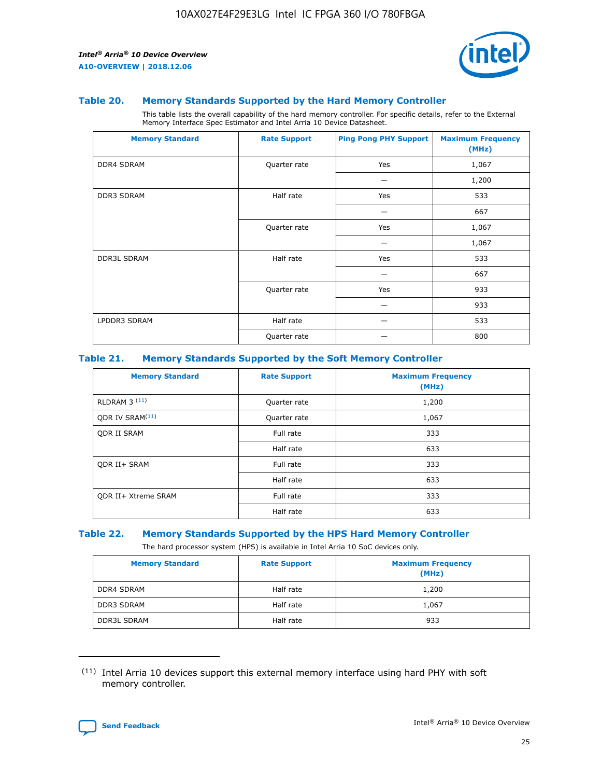

#### **Table 20. Memory Standards Supported by the Hard Memory Controller**

This table lists the overall capability of the hard memory controller. For specific details, refer to the External Memory Interface Spec Estimator and Intel Arria 10 Device Datasheet.

| <b>Memory Standard</b> | <b>Rate Support</b> | <b>Ping Pong PHY Support</b> | <b>Maximum Frequency</b><br>(MHz) |
|------------------------|---------------------|------------------------------|-----------------------------------|
| <b>DDR4 SDRAM</b>      | Quarter rate        | Yes                          | 1,067                             |
|                        |                     |                              | 1,200                             |
| <b>DDR3 SDRAM</b>      | Half rate           | Yes                          | 533                               |
|                        |                     |                              | 667                               |
|                        | Quarter rate        | Yes                          | 1,067                             |
|                        |                     |                              | 1,067                             |
| <b>DDR3L SDRAM</b>     | Half rate           | Yes                          | 533                               |
|                        |                     |                              | 667                               |
|                        | Quarter rate        | Yes                          | 933                               |
|                        |                     |                              | 933                               |
| LPDDR3 SDRAM           | Half rate           |                              | 533                               |
|                        | Quarter rate        |                              | 800                               |

#### **Table 21. Memory Standards Supported by the Soft Memory Controller**

| <b>Memory Standard</b>      | <b>Rate Support</b> | <b>Maximum Frequency</b><br>(MHz) |
|-----------------------------|---------------------|-----------------------------------|
| <b>RLDRAM 3 (11)</b>        | Quarter rate        | 1,200                             |
| ODR IV SRAM <sup>(11)</sup> | Quarter rate        | 1,067                             |
| <b>ODR II SRAM</b>          | Full rate           | 333                               |
|                             | Half rate           | 633                               |
| <b>ODR II+ SRAM</b>         | Full rate           | 333                               |
|                             | Half rate           | 633                               |
| <b>ODR II+ Xtreme SRAM</b>  | Full rate           | 333                               |
|                             | Half rate           | 633                               |

#### **Table 22. Memory Standards Supported by the HPS Hard Memory Controller**

The hard processor system (HPS) is available in Intel Arria 10 SoC devices only.

| <b>Memory Standard</b> | <b>Rate Support</b> | <b>Maximum Frequency</b><br>(MHz) |
|------------------------|---------------------|-----------------------------------|
| <b>DDR4 SDRAM</b>      | Half rate           | 1,200                             |
| <b>DDR3 SDRAM</b>      | Half rate           | 1,067                             |
| <b>DDR3L SDRAM</b>     | Half rate           | 933                               |

<sup>(11)</sup> Intel Arria 10 devices support this external memory interface using hard PHY with soft memory controller.

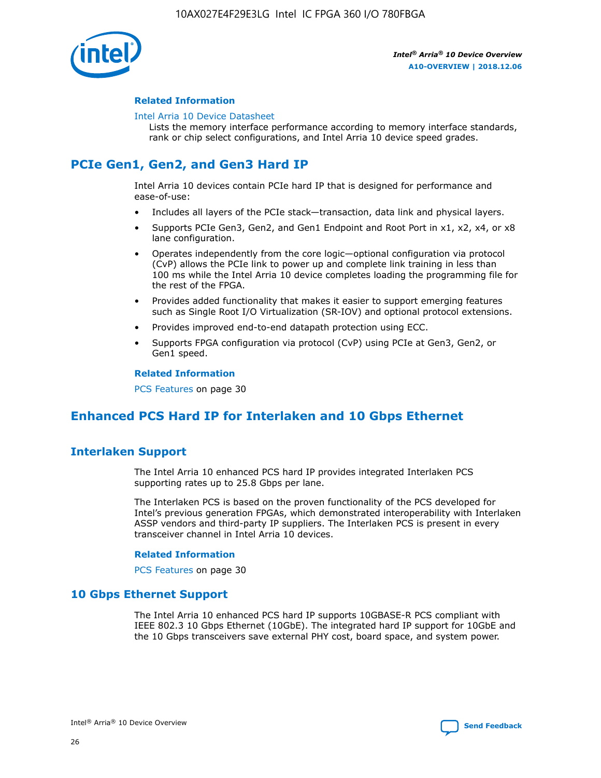

## **Related Information**

#### [Intel Arria 10 Device Datasheet](https://www.intel.com/content/www/us/en/programmable/documentation/mcn1413182292568.html#mcn1413182153340)

Lists the memory interface performance according to memory interface standards, rank or chip select configurations, and Intel Arria 10 device speed grades.

# **PCIe Gen1, Gen2, and Gen3 Hard IP**

Intel Arria 10 devices contain PCIe hard IP that is designed for performance and ease-of-use:

- Includes all layers of the PCIe stack—transaction, data link and physical layers.
- Supports PCIe Gen3, Gen2, and Gen1 Endpoint and Root Port in x1, x2, x4, or x8 lane configuration.
- Operates independently from the core logic—optional configuration via protocol (CvP) allows the PCIe link to power up and complete link training in less than 100 ms while the Intel Arria 10 device completes loading the programming file for the rest of the FPGA.
- Provides added functionality that makes it easier to support emerging features such as Single Root I/O Virtualization (SR-IOV) and optional protocol extensions.
- Provides improved end-to-end datapath protection using ECC.
- Supports FPGA configuration via protocol (CvP) using PCIe at Gen3, Gen2, or Gen1 speed.

#### **Related Information**

PCS Features on page 30

# **Enhanced PCS Hard IP for Interlaken and 10 Gbps Ethernet**

# **Interlaken Support**

The Intel Arria 10 enhanced PCS hard IP provides integrated Interlaken PCS supporting rates up to 25.8 Gbps per lane.

The Interlaken PCS is based on the proven functionality of the PCS developed for Intel's previous generation FPGAs, which demonstrated interoperability with Interlaken ASSP vendors and third-party IP suppliers. The Interlaken PCS is present in every transceiver channel in Intel Arria 10 devices.

## **Related Information**

PCS Features on page 30

# **10 Gbps Ethernet Support**

The Intel Arria 10 enhanced PCS hard IP supports 10GBASE-R PCS compliant with IEEE 802.3 10 Gbps Ethernet (10GbE). The integrated hard IP support for 10GbE and the 10 Gbps transceivers save external PHY cost, board space, and system power.

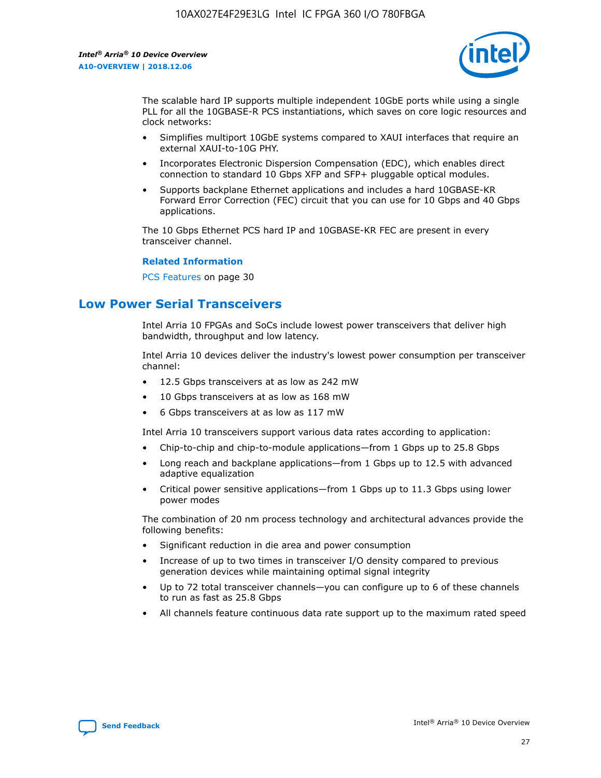

The scalable hard IP supports multiple independent 10GbE ports while using a single PLL for all the 10GBASE-R PCS instantiations, which saves on core logic resources and clock networks:

- Simplifies multiport 10GbE systems compared to XAUI interfaces that require an external XAUI-to-10G PHY.
- Incorporates Electronic Dispersion Compensation (EDC), which enables direct connection to standard 10 Gbps XFP and SFP+ pluggable optical modules.
- Supports backplane Ethernet applications and includes a hard 10GBASE-KR Forward Error Correction (FEC) circuit that you can use for 10 Gbps and 40 Gbps applications.

The 10 Gbps Ethernet PCS hard IP and 10GBASE-KR FEC are present in every transceiver channel.

#### **Related Information**

PCS Features on page 30

# **Low Power Serial Transceivers**

Intel Arria 10 FPGAs and SoCs include lowest power transceivers that deliver high bandwidth, throughput and low latency.

Intel Arria 10 devices deliver the industry's lowest power consumption per transceiver channel:

- 12.5 Gbps transceivers at as low as 242 mW
- 10 Gbps transceivers at as low as 168 mW
- 6 Gbps transceivers at as low as 117 mW

Intel Arria 10 transceivers support various data rates according to application:

- Chip-to-chip and chip-to-module applications—from 1 Gbps up to 25.8 Gbps
- Long reach and backplane applications—from 1 Gbps up to 12.5 with advanced adaptive equalization
- Critical power sensitive applications—from 1 Gbps up to 11.3 Gbps using lower power modes

The combination of 20 nm process technology and architectural advances provide the following benefits:

- Significant reduction in die area and power consumption
- Increase of up to two times in transceiver I/O density compared to previous generation devices while maintaining optimal signal integrity
- Up to 72 total transceiver channels—you can configure up to 6 of these channels to run as fast as 25.8 Gbps
- All channels feature continuous data rate support up to the maximum rated speed

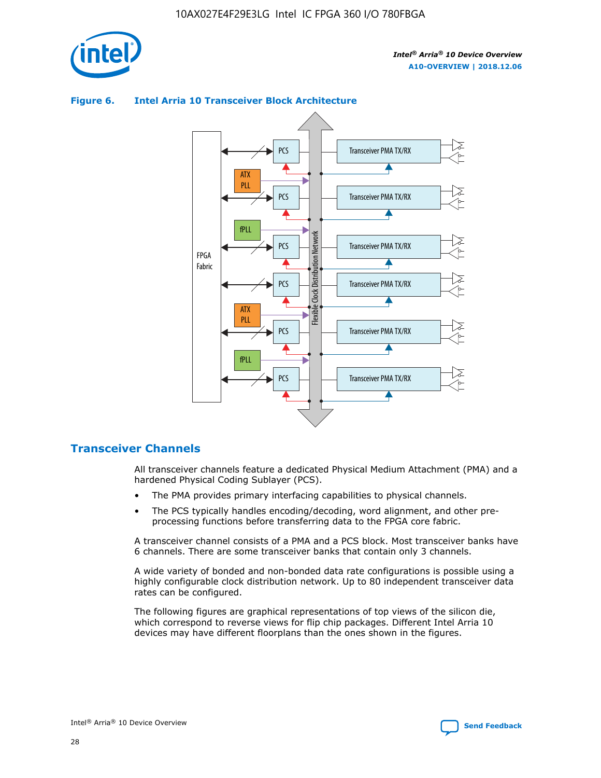



## **Figure 6. Intel Arria 10 Transceiver Block Architecture**

# **Transceiver Channels**

All transceiver channels feature a dedicated Physical Medium Attachment (PMA) and a hardened Physical Coding Sublayer (PCS).

- The PMA provides primary interfacing capabilities to physical channels.
- The PCS typically handles encoding/decoding, word alignment, and other preprocessing functions before transferring data to the FPGA core fabric.

A transceiver channel consists of a PMA and a PCS block. Most transceiver banks have 6 channels. There are some transceiver banks that contain only 3 channels.

A wide variety of bonded and non-bonded data rate configurations is possible using a highly configurable clock distribution network. Up to 80 independent transceiver data rates can be configured.

The following figures are graphical representations of top views of the silicon die, which correspond to reverse views for flip chip packages. Different Intel Arria 10 devices may have different floorplans than the ones shown in the figures.

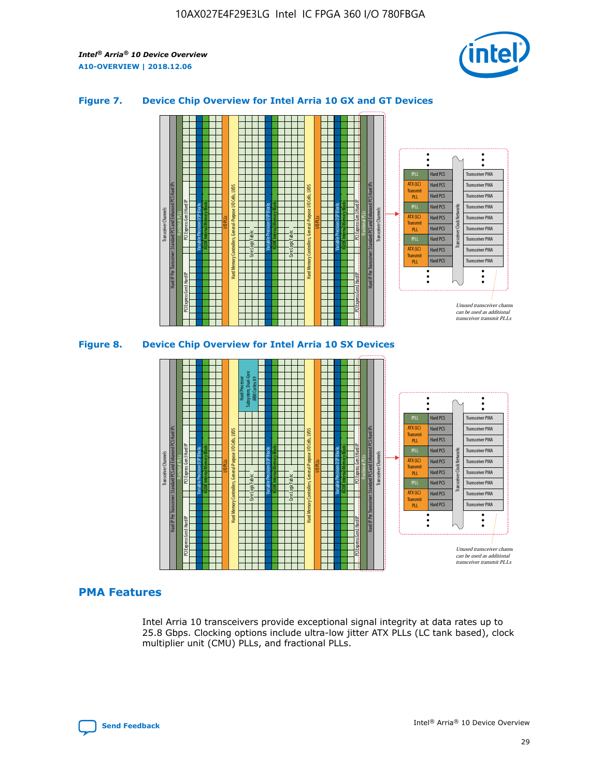

## **Figure 7. Device Chip Overview for Intel Arria 10 GX and GT Devices**



## **PMA Features**

Intel Arria 10 transceivers provide exceptional signal integrity at data rates up to 25.8 Gbps. Clocking options include ultra-low jitter ATX PLLs (LC tank based), clock multiplier unit (CMU) PLLs, and fractional PLLs.

Hard PCS Hard PCS Hard PCS Hard PCS Hard PCS

ATX (LC) Transmi PLL fPLL ATX (LC) **Transmit** PLL

Transceiver PMA Transceiver PMA Transceiver PMA

Transceiver PMA Transceiver PMA

Unused transceiver chann can be used as additional transceiver transmit PLLs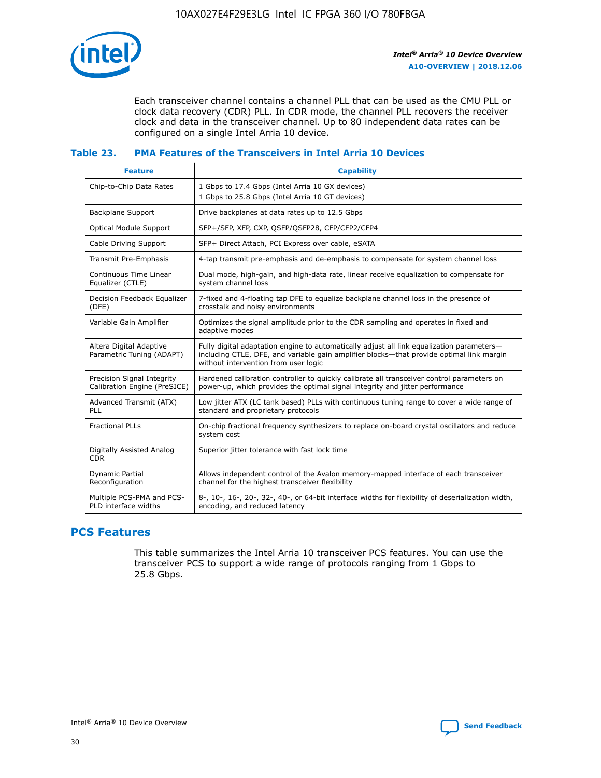

Each transceiver channel contains a channel PLL that can be used as the CMU PLL or clock data recovery (CDR) PLL. In CDR mode, the channel PLL recovers the receiver clock and data in the transceiver channel. Up to 80 independent data rates can be configured on a single Intel Arria 10 device.

## **Table 23. PMA Features of the Transceivers in Intel Arria 10 Devices**

| <b>Feature</b>                                             | <b>Capability</b>                                                                                                                                                                                                             |
|------------------------------------------------------------|-------------------------------------------------------------------------------------------------------------------------------------------------------------------------------------------------------------------------------|
| Chip-to-Chip Data Rates                                    | 1 Gbps to 17.4 Gbps (Intel Arria 10 GX devices)<br>1 Gbps to 25.8 Gbps (Intel Arria 10 GT devices)                                                                                                                            |
| <b>Backplane Support</b>                                   | Drive backplanes at data rates up to 12.5 Gbps                                                                                                                                                                                |
| <b>Optical Module Support</b>                              | SFP+/SFP, XFP, CXP, QSFP/QSFP28, CFP/CFP2/CFP4                                                                                                                                                                                |
| Cable Driving Support                                      | SFP+ Direct Attach, PCI Express over cable, eSATA                                                                                                                                                                             |
| Transmit Pre-Emphasis                                      | 4-tap transmit pre-emphasis and de-emphasis to compensate for system channel loss                                                                                                                                             |
| Continuous Time Linear<br>Equalizer (CTLE)                 | Dual mode, high-gain, and high-data rate, linear receive equalization to compensate for<br>system channel loss                                                                                                                |
| Decision Feedback Equalizer<br>(DFE)                       | 7-fixed and 4-floating tap DFE to equalize backplane channel loss in the presence of<br>crosstalk and noisy environments                                                                                                      |
| Variable Gain Amplifier                                    | Optimizes the signal amplitude prior to the CDR sampling and operates in fixed and<br>adaptive modes                                                                                                                          |
| Altera Digital Adaptive<br>Parametric Tuning (ADAPT)       | Fully digital adaptation engine to automatically adjust all link equalization parameters-<br>including CTLE, DFE, and variable gain amplifier blocks—that provide optimal link margin<br>without intervention from user logic |
| Precision Signal Integrity<br>Calibration Engine (PreSICE) | Hardened calibration controller to quickly calibrate all transceiver control parameters on<br>power-up, which provides the optimal signal integrity and jitter performance                                                    |
| Advanced Transmit (ATX)<br>PLL                             | Low jitter ATX (LC tank based) PLLs with continuous tuning range to cover a wide range of<br>standard and proprietary protocols                                                                                               |
| <b>Fractional PLLs</b>                                     | On-chip fractional frequency synthesizers to replace on-board crystal oscillators and reduce<br>system cost                                                                                                                   |
| Digitally Assisted Analog<br><b>CDR</b>                    | Superior jitter tolerance with fast lock time                                                                                                                                                                                 |
| <b>Dynamic Partial</b><br>Reconfiguration                  | Allows independent control of the Avalon memory-mapped interface of each transceiver<br>channel for the highest transceiver flexibility                                                                                       |
| Multiple PCS-PMA and PCS-<br>PLD interface widths          | 8-, 10-, 16-, 20-, 32-, 40-, or 64-bit interface widths for flexibility of deserialization width,<br>encoding, and reduced latency                                                                                            |

# **PCS Features**

This table summarizes the Intel Arria 10 transceiver PCS features. You can use the transceiver PCS to support a wide range of protocols ranging from 1 Gbps to 25.8 Gbps.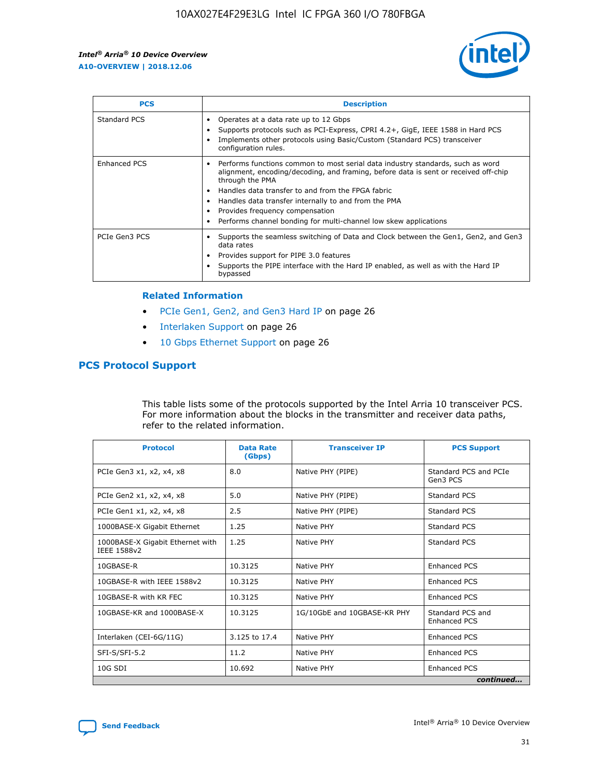

| <b>PCS</b>          | <b>Description</b>                                                                                                                                                                                                                                                                                                                                                                                             |
|---------------------|----------------------------------------------------------------------------------------------------------------------------------------------------------------------------------------------------------------------------------------------------------------------------------------------------------------------------------------------------------------------------------------------------------------|
| Standard PCS        | Operates at a data rate up to 12 Gbps<br>Supports protocols such as PCI-Express, CPRI 4.2+, GigE, IEEE 1588 in Hard PCS<br>Implements other protocols using Basic/Custom (Standard PCS) transceiver<br>configuration rules.                                                                                                                                                                                    |
| <b>Enhanced PCS</b> | Performs functions common to most serial data industry standards, such as word<br>alignment, encoding/decoding, and framing, before data is sent or received off-chip<br>through the PMA<br>• Handles data transfer to and from the FPGA fabric<br>Handles data transfer internally to and from the PMA<br>Provides frequency compensation<br>Performs channel bonding for multi-channel low skew applications |
| PCIe Gen3 PCS       | Supports the seamless switching of Data and Clock between the Gen1, Gen2, and Gen3<br>data rates<br>Provides support for PIPE 3.0 features<br>Supports the PIPE interface with the Hard IP enabled, as well as with the Hard IP<br>bypassed                                                                                                                                                                    |

#### **Related Information**

- PCIe Gen1, Gen2, and Gen3 Hard IP on page 26
- Interlaken Support on page 26
- 10 Gbps Ethernet Support on page 26

# **PCS Protocol Support**

This table lists some of the protocols supported by the Intel Arria 10 transceiver PCS. For more information about the blocks in the transmitter and receiver data paths, refer to the related information.

| <b>Protocol</b>                                 | <b>Data Rate</b><br>(Gbps) | <b>Transceiver IP</b>       | <b>PCS Support</b>                      |
|-------------------------------------------------|----------------------------|-----------------------------|-----------------------------------------|
| PCIe Gen3 x1, x2, x4, x8                        | 8.0                        | Native PHY (PIPE)           | Standard PCS and PCIe<br>Gen3 PCS       |
| PCIe Gen2 x1, x2, x4, x8                        | 5.0                        | Native PHY (PIPE)           | <b>Standard PCS</b>                     |
| PCIe Gen1 x1, x2, x4, x8                        | 2.5                        | Native PHY (PIPE)           | Standard PCS                            |
| 1000BASE-X Gigabit Ethernet                     | 1.25                       | Native PHY                  | Standard PCS                            |
| 1000BASE-X Gigabit Ethernet with<br>IEEE 1588v2 | 1.25                       | Native PHY                  | Standard PCS                            |
| 10GBASE-R                                       | 10.3125                    | Native PHY                  | <b>Enhanced PCS</b>                     |
| 10GBASE-R with IEEE 1588v2                      | 10.3125                    | Native PHY                  | <b>Enhanced PCS</b>                     |
| 10GBASE-R with KR FEC                           | 10.3125                    | Native PHY                  | <b>Enhanced PCS</b>                     |
| 10GBASE-KR and 1000BASE-X                       | 10.3125                    | 1G/10GbE and 10GBASE-KR PHY | Standard PCS and<br><b>Enhanced PCS</b> |
| Interlaken (CEI-6G/11G)                         | 3.125 to 17.4              | Native PHY                  | <b>Enhanced PCS</b>                     |
| SFI-S/SFI-5.2                                   | 11.2                       | Native PHY                  | <b>Enhanced PCS</b>                     |
| $10G$ SDI                                       | 10.692                     | Native PHY                  | <b>Enhanced PCS</b>                     |
|                                                 |                            |                             | continued                               |

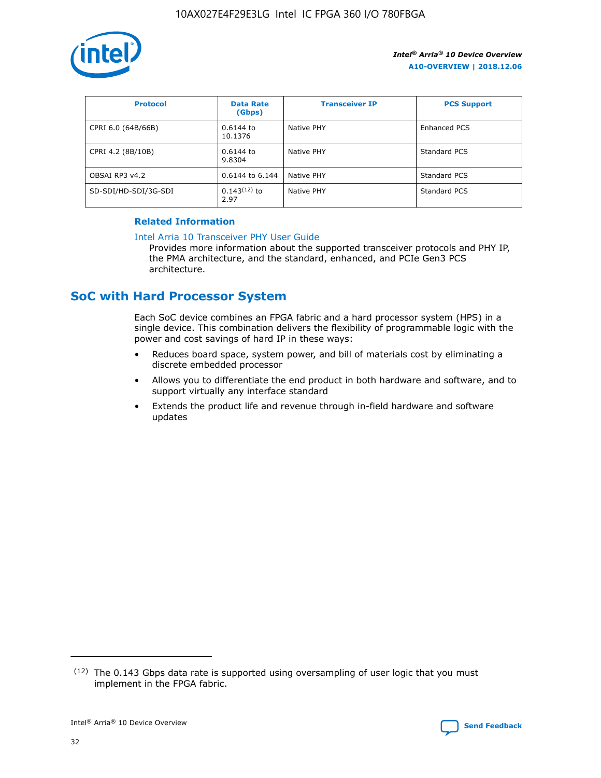

| <b>Protocol</b>      | <b>Data Rate</b><br>(Gbps) | <b>Transceiver IP</b> | <b>PCS Support</b> |
|----------------------|----------------------------|-----------------------|--------------------|
| CPRI 6.0 (64B/66B)   | 0.6144 to<br>10.1376       | Native PHY            | Enhanced PCS       |
| CPRI 4.2 (8B/10B)    | 0.6144 to<br>9.8304        | Native PHY            | Standard PCS       |
| OBSAI RP3 v4.2       | 0.6144 to 6.144            | Native PHY            | Standard PCS       |
| SD-SDI/HD-SDI/3G-SDI | $0.143(12)$ to<br>2.97     | Native PHY            | Standard PCS       |

# **Related Information**

#### [Intel Arria 10 Transceiver PHY User Guide](https://www.intel.com/content/www/us/en/programmable/documentation/nik1398707230472.html#nik1398707091164)

Provides more information about the supported transceiver protocols and PHY IP, the PMA architecture, and the standard, enhanced, and PCIe Gen3 PCS architecture.

# **SoC with Hard Processor System**

Each SoC device combines an FPGA fabric and a hard processor system (HPS) in a single device. This combination delivers the flexibility of programmable logic with the power and cost savings of hard IP in these ways:

- Reduces board space, system power, and bill of materials cost by eliminating a discrete embedded processor
- Allows you to differentiate the end product in both hardware and software, and to support virtually any interface standard
- Extends the product life and revenue through in-field hardware and software updates

 $(12)$  The 0.143 Gbps data rate is supported using oversampling of user logic that you must implement in the FPGA fabric.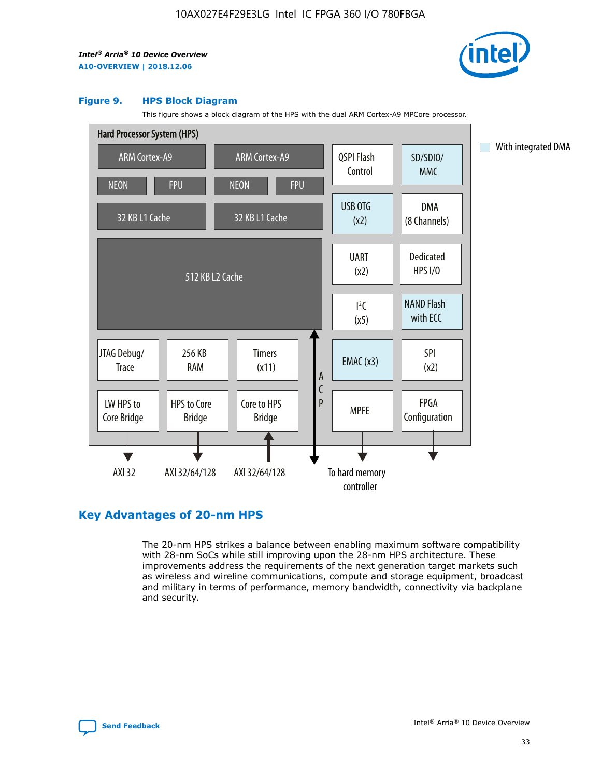

#### **Figure 9. HPS Block Diagram**

This figure shows a block diagram of the HPS with the dual ARM Cortex-A9 MPCore processor.



# **Key Advantages of 20-nm HPS**

The 20-nm HPS strikes a balance between enabling maximum software compatibility with 28-nm SoCs while still improving upon the 28-nm HPS architecture. These improvements address the requirements of the next generation target markets such as wireless and wireline communications, compute and storage equipment, broadcast and military in terms of performance, memory bandwidth, connectivity via backplane and security.

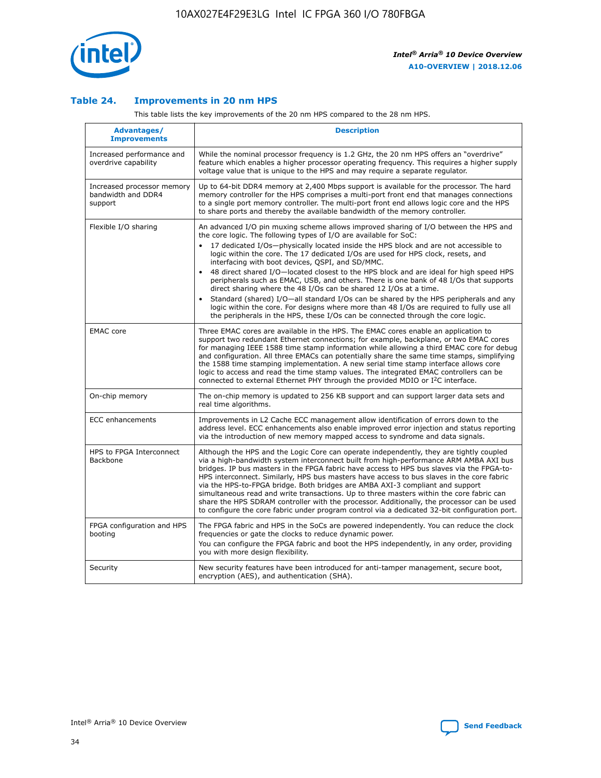

## **Table 24. Improvements in 20 nm HPS**

This table lists the key improvements of the 20 nm HPS compared to the 28 nm HPS.

| Advantages/<br><b>Improvements</b>                          | <b>Description</b>                                                                                                                                                                                                                                                                                                                                                                                                                                                                                                                                                                                                                                                                                                                                                                                                                                                                                                                                |
|-------------------------------------------------------------|---------------------------------------------------------------------------------------------------------------------------------------------------------------------------------------------------------------------------------------------------------------------------------------------------------------------------------------------------------------------------------------------------------------------------------------------------------------------------------------------------------------------------------------------------------------------------------------------------------------------------------------------------------------------------------------------------------------------------------------------------------------------------------------------------------------------------------------------------------------------------------------------------------------------------------------------------|
| Increased performance and<br>overdrive capability           | While the nominal processor frequency is 1.2 GHz, the 20 nm HPS offers an "overdrive"<br>feature which enables a higher processor operating frequency. This requires a higher supply<br>voltage value that is unique to the HPS and may require a separate regulator.                                                                                                                                                                                                                                                                                                                                                                                                                                                                                                                                                                                                                                                                             |
| Increased processor memory<br>bandwidth and DDR4<br>support | Up to 64-bit DDR4 memory at 2,400 Mbps support is available for the processor. The hard<br>memory controller for the HPS comprises a multi-port front end that manages connections<br>to a single port memory controller. The multi-port front end allows logic core and the HPS<br>to share ports and thereby the available bandwidth of the memory controller.                                                                                                                                                                                                                                                                                                                                                                                                                                                                                                                                                                                  |
| Flexible I/O sharing                                        | An advanced I/O pin muxing scheme allows improved sharing of I/O between the HPS and<br>the core logic. The following types of I/O are available for SoC:<br>$\bullet$<br>17 dedicated I/Os-physically located inside the HPS block and are not accessible to<br>logic within the core. The 17 dedicated I/Os are used for HPS clock, resets, and<br>interfacing with boot devices, QSPI, and SD/MMC.<br>48 direct shared I/O-located closest to the HPS block and are ideal for high speed HPS<br>$\bullet$<br>peripherals such as EMAC, USB, and others. There is one bank of 48 I/Os that supports<br>direct sharing where the 48 I/Os can be shared 12 I/Os at a time.<br>Standard (shared) I/O-all standard I/Os can be shared by the HPS peripherals and any<br>logic within the core. For designs where more than 48 I/Os are required to fully use all<br>the peripherals in the HPS, these I/Os can be connected through the core logic. |
| <b>EMAC</b> core                                            | Three EMAC cores are available in the HPS. The EMAC cores enable an application to<br>support two redundant Ethernet connections; for example, backplane, or two EMAC cores<br>for managing IEEE 1588 time stamp information while allowing a third EMAC core for debug<br>and configuration. All three EMACs can potentially share the same time stamps, simplifying<br>the 1588 time stamping implementation. A new serial time stamp interface allows core<br>logic to access and read the time stamp values. The integrated EMAC controllers can be<br>connected to external Ethernet PHY through the provided MDIO or I <sup>2</sup> C interface.                                                                                                                                                                                                                                                                                            |
| On-chip memory                                              | The on-chip memory is updated to 256 KB support and can support larger data sets and<br>real time algorithms.                                                                                                                                                                                                                                                                                                                                                                                                                                                                                                                                                                                                                                                                                                                                                                                                                                     |
| <b>ECC</b> enhancements                                     | Improvements in L2 Cache ECC management allow identification of errors down to the<br>address level. ECC enhancements also enable improved error injection and status reporting<br>via the introduction of new memory mapped access to syndrome and data signals.                                                                                                                                                                                                                                                                                                                                                                                                                                                                                                                                                                                                                                                                                 |
| HPS to FPGA Interconnect<br>Backbone                        | Although the HPS and the Logic Core can operate independently, they are tightly coupled<br>via a high-bandwidth system interconnect built from high-performance ARM AMBA AXI bus<br>bridges. IP bus masters in the FPGA fabric have access to HPS bus slaves via the FPGA-to-<br>HPS interconnect. Similarly, HPS bus masters have access to bus slaves in the core fabric<br>via the HPS-to-FPGA bridge. Both bridges are AMBA AXI-3 compliant and support<br>simultaneous read and write transactions. Up to three masters within the core fabric can<br>share the HPS SDRAM controller with the processor. Additionally, the processor can be used<br>to configure the core fabric under program control via a dedicated 32-bit configuration port.                                                                                                                                                                                            |
| FPGA configuration and HPS<br>booting                       | The FPGA fabric and HPS in the SoCs are powered independently. You can reduce the clock<br>frequencies or gate the clocks to reduce dynamic power.<br>You can configure the FPGA fabric and boot the HPS independently, in any order, providing<br>you with more design flexibility.                                                                                                                                                                                                                                                                                                                                                                                                                                                                                                                                                                                                                                                              |
| Security                                                    | New security features have been introduced for anti-tamper management, secure boot,<br>encryption (AES), and authentication (SHA).                                                                                                                                                                                                                                                                                                                                                                                                                                                                                                                                                                                                                                                                                                                                                                                                                |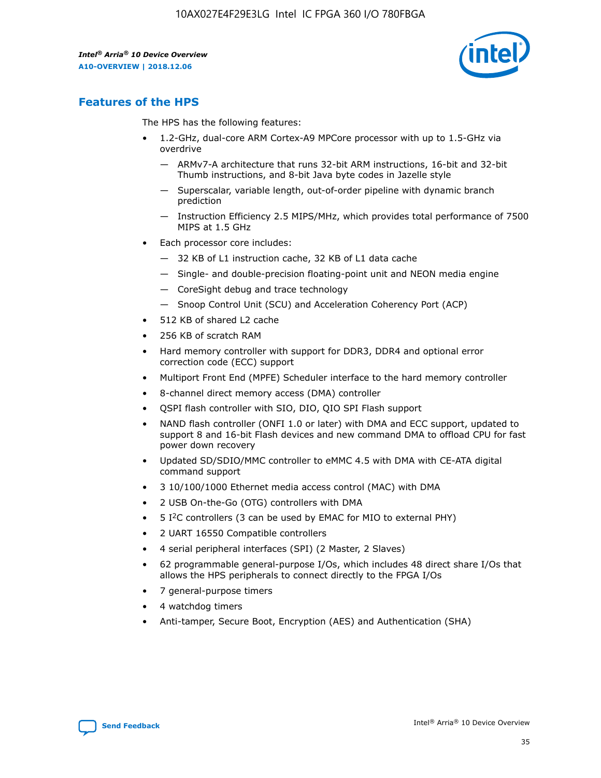

# **Features of the HPS**

The HPS has the following features:

- 1.2-GHz, dual-core ARM Cortex-A9 MPCore processor with up to 1.5-GHz via overdrive
	- ARMv7-A architecture that runs 32-bit ARM instructions, 16-bit and 32-bit Thumb instructions, and 8-bit Java byte codes in Jazelle style
	- Superscalar, variable length, out-of-order pipeline with dynamic branch prediction
	- Instruction Efficiency 2.5 MIPS/MHz, which provides total performance of 7500 MIPS at 1.5 GHz
- Each processor core includes:
	- 32 KB of L1 instruction cache, 32 KB of L1 data cache
	- Single- and double-precision floating-point unit and NEON media engine
	- CoreSight debug and trace technology
	- Snoop Control Unit (SCU) and Acceleration Coherency Port (ACP)
- 512 KB of shared L2 cache
- 256 KB of scratch RAM
- Hard memory controller with support for DDR3, DDR4 and optional error correction code (ECC) support
- Multiport Front End (MPFE) Scheduler interface to the hard memory controller
- 8-channel direct memory access (DMA) controller
- QSPI flash controller with SIO, DIO, QIO SPI Flash support
- NAND flash controller (ONFI 1.0 or later) with DMA and ECC support, updated to support 8 and 16-bit Flash devices and new command DMA to offload CPU for fast power down recovery
- Updated SD/SDIO/MMC controller to eMMC 4.5 with DMA with CE-ATA digital command support
- 3 10/100/1000 Ethernet media access control (MAC) with DMA
- 2 USB On-the-Go (OTG) controllers with DMA
- $\bullet$  5 I<sup>2</sup>C controllers (3 can be used by EMAC for MIO to external PHY)
- 2 UART 16550 Compatible controllers
- 4 serial peripheral interfaces (SPI) (2 Master, 2 Slaves)
- 62 programmable general-purpose I/Os, which includes 48 direct share I/Os that allows the HPS peripherals to connect directly to the FPGA I/Os
- 7 general-purpose timers
- 4 watchdog timers
- Anti-tamper, Secure Boot, Encryption (AES) and Authentication (SHA)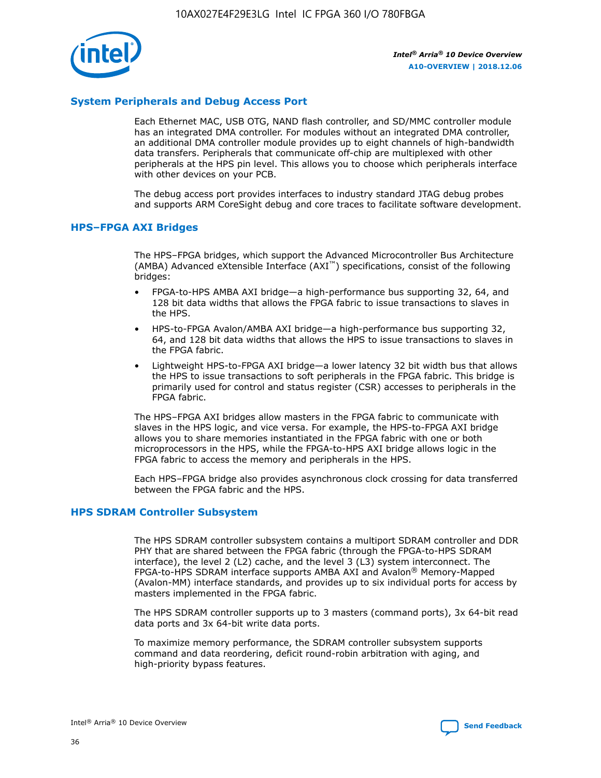

# **System Peripherals and Debug Access Port**

Each Ethernet MAC, USB OTG, NAND flash controller, and SD/MMC controller module has an integrated DMA controller. For modules without an integrated DMA controller, an additional DMA controller module provides up to eight channels of high-bandwidth data transfers. Peripherals that communicate off-chip are multiplexed with other peripherals at the HPS pin level. This allows you to choose which peripherals interface with other devices on your PCB.

The debug access port provides interfaces to industry standard JTAG debug probes and supports ARM CoreSight debug and core traces to facilitate software development.

#### **HPS–FPGA AXI Bridges**

The HPS–FPGA bridges, which support the Advanced Microcontroller Bus Architecture (AMBA) Advanced eXtensible Interface (AXI™) specifications, consist of the following bridges:

- FPGA-to-HPS AMBA AXI bridge—a high-performance bus supporting 32, 64, and 128 bit data widths that allows the FPGA fabric to issue transactions to slaves in the HPS.
- HPS-to-FPGA Avalon/AMBA AXI bridge—a high-performance bus supporting 32, 64, and 128 bit data widths that allows the HPS to issue transactions to slaves in the FPGA fabric.
- Lightweight HPS-to-FPGA AXI bridge—a lower latency 32 bit width bus that allows the HPS to issue transactions to soft peripherals in the FPGA fabric. This bridge is primarily used for control and status register (CSR) accesses to peripherals in the FPGA fabric.

The HPS–FPGA AXI bridges allow masters in the FPGA fabric to communicate with slaves in the HPS logic, and vice versa. For example, the HPS-to-FPGA AXI bridge allows you to share memories instantiated in the FPGA fabric with one or both microprocessors in the HPS, while the FPGA-to-HPS AXI bridge allows logic in the FPGA fabric to access the memory and peripherals in the HPS.

Each HPS–FPGA bridge also provides asynchronous clock crossing for data transferred between the FPGA fabric and the HPS.

#### **HPS SDRAM Controller Subsystem**

The HPS SDRAM controller subsystem contains a multiport SDRAM controller and DDR PHY that are shared between the FPGA fabric (through the FPGA-to-HPS SDRAM interface), the level 2 (L2) cache, and the level 3 (L3) system interconnect. The FPGA-to-HPS SDRAM interface supports AMBA AXI and Avalon® Memory-Mapped (Avalon-MM) interface standards, and provides up to six individual ports for access by masters implemented in the FPGA fabric.

The HPS SDRAM controller supports up to 3 masters (command ports), 3x 64-bit read data ports and 3x 64-bit write data ports.

To maximize memory performance, the SDRAM controller subsystem supports command and data reordering, deficit round-robin arbitration with aging, and high-priority bypass features.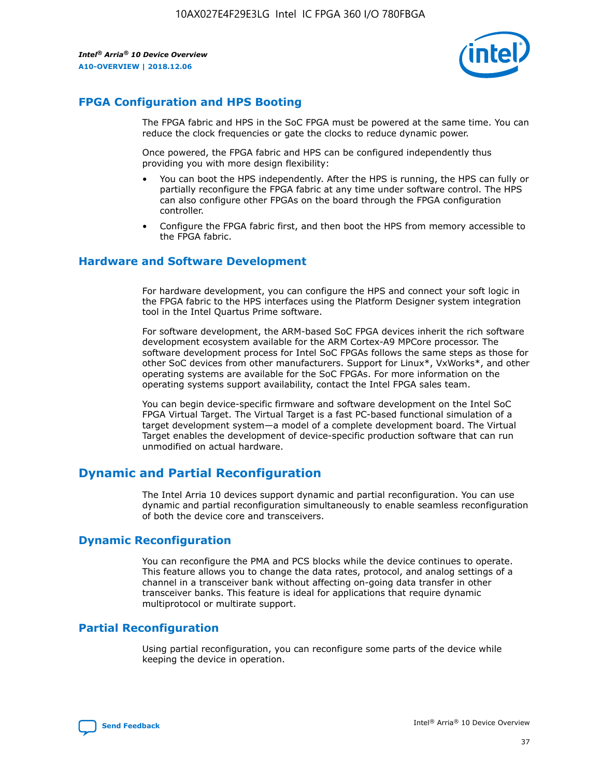

# **FPGA Configuration and HPS Booting**

The FPGA fabric and HPS in the SoC FPGA must be powered at the same time. You can reduce the clock frequencies or gate the clocks to reduce dynamic power.

Once powered, the FPGA fabric and HPS can be configured independently thus providing you with more design flexibility:

- You can boot the HPS independently. After the HPS is running, the HPS can fully or partially reconfigure the FPGA fabric at any time under software control. The HPS can also configure other FPGAs on the board through the FPGA configuration controller.
- Configure the FPGA fabric first, and then boot the HPS from memory accessible to the FPGA fabric.

## **Hardware and Software Development**

For hardware development, you can configure the HPS and connect your soft logic in the FPGA fabric to the HPS interfaces using the Platform Designer system integration tool in the Intel Quartus Prime software.

For software development, the ARM-based SoC FPGA devices inherit the rich software development ecosystem available for the ARM Cortex-A9 MPCore processor. The software development process for Intel SoC FPGAs follows the same steps as those for other SoC devices from other manufacturers. Support for Linux\*, VxWorks\*, and other operating systems are available for the SoC FPGAs. For more information on the operating systems support availability, contact the Intel FPGA sales team.

You can begin device-specific firmware and software development on the Intel SoC FPGA Virtual Target. The Virtual Target is a fast PC-based functional simulation of a target development system—a model of a complete development board. The Virtual Target enables the development of device-specific production software that can run unmodified on actual hardware.

# **Dynamic and Partial Reconfiguration**

The Intel Arria 10 devices support dynamic and partial reconfiguration. You can use dynamic and partial reconfiguration simultaneously to enable seamless reconfiguration of both the device core and transceivers.

# **Dynamic Reconfiguration**

You can reconfigure the PMA and PCS blocks while the device continues to operate. This feature allows you to change the data rates, protocol, and analog settings of a channel in a transceiver bank without affecting on-going data transfer in other transceiver banks. This feature is ideal for applications that require dynamic multiprotocol or multirate support.

# **Partial Reconfiguration**

Using partial reconfiguration, you can reconfigure some parts of the device while keeping the device in operation.

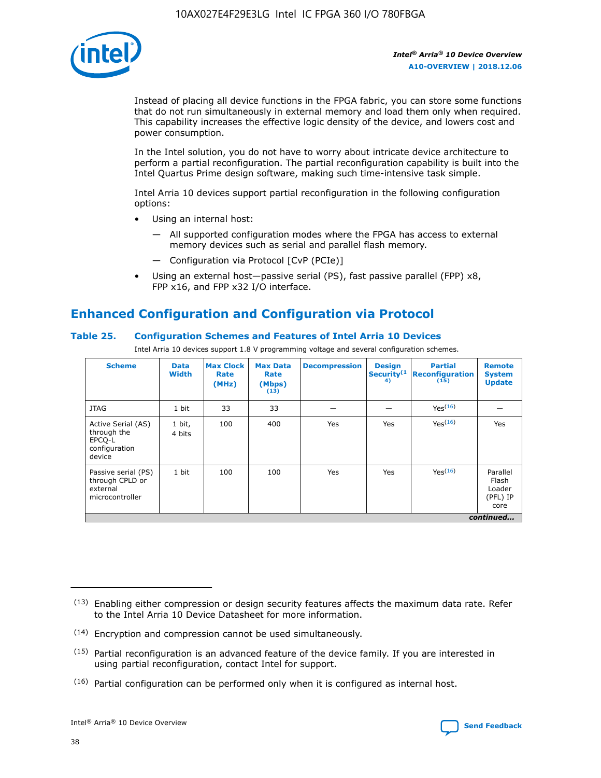

Instead of placing all device functions in the FPGA fabric, you can store some functions that do not run simultaneously in external memory and load them only when required. This capability increases the effective logic density of the device, and lowers cost and power consumption.

In the Intel solution, you do not have to worry about intricate device architecture to perform a partial reconfiguration. The partial reconfiguration capability is built into the Intel Quartus Prime design software, making such time-intensive task simple.

Intel Arria 10 devices support partial reconfiguration in the following configuration options:

- Using an internal host:
	- All supported configuration modes where the FPGA has access to external memory devices such as serial and parallel flash memory.
	- Configuration via Protocol [CvP (PCIe)]
- Using an external host—passive serial (PS), fast passive parallel (FPP) x8, FPP x16, and FPP x32 I/O interface.

# **Enhanced Configuration and Configuration via Protocol**

## **Table 25. Configuration Schemes and Features of Intel Arria 10 Devices**

Intel Arria 10 devices support 1.8 V programming voltage and several configuration schemes.

| <b>Scheme</b>                                                          | <b>Data</b><br><b>Width</b> | <b>Max Clock</b><br>Rate<br>(MHz) | <b>Max Data</b><br>Rate<br>(Mbps)<br>(13) | <b>Decompression</b> | <b>Design</b><br>Security <sup>(1</sup><br>4) | <b>Partial</b><br>Reconfiguration<br>(15) | <b>Remote</b><br><b>System</b><br><b>Update</b> |
|------------------------------------------------------------------------|-----------------------------|-----------------------------------|-------------------------------------------|----------------------|-----------------------------------------------|-------------------------------------------|-------------------------------------------------|
| <b>JTAG</b>                                                            | 1 bit                       | 33                                | 33                                        |                      |                                               | Yes(16)                                   |                                                 |
| Active Serial (AS)<br>through the<br>EPCO-L<br>configuration<br>device | 1 bit,<br>4 bits            | 100                               | 400                                       | Yes                  | Yes                                           | Yes(16)                                   | Yes                                             |
| Passive serial (PS)<br>through CPLD or<br>external<br>microcontroller  | 1 bit                       | 100                               | 100                                       | Yes                  | Yes                                           | Yes <sup>(16)</sup>                       | Parallel<br>Flash<br>Loader<br>(PFL) IP<br>core |
|                                                                        |                             |                                   |                                           |                      |                                               |                                           | continued                                       |

<sup>(13)</sup> Enabling either compression or design security features affects the maximum data rate. Refer to the Intel Arria 10 Device Datasheet for more information.

<sup>(14)</sup> Encryption and compression cannot be used simultaneously.

 $(15)$  Partial reconfiguration is an advanced feature of the device family. If you are interested in using partial reconfiguration, contact Intel for support.

 $(16)$  Partial configuration can be performed only when it is configured as internal host.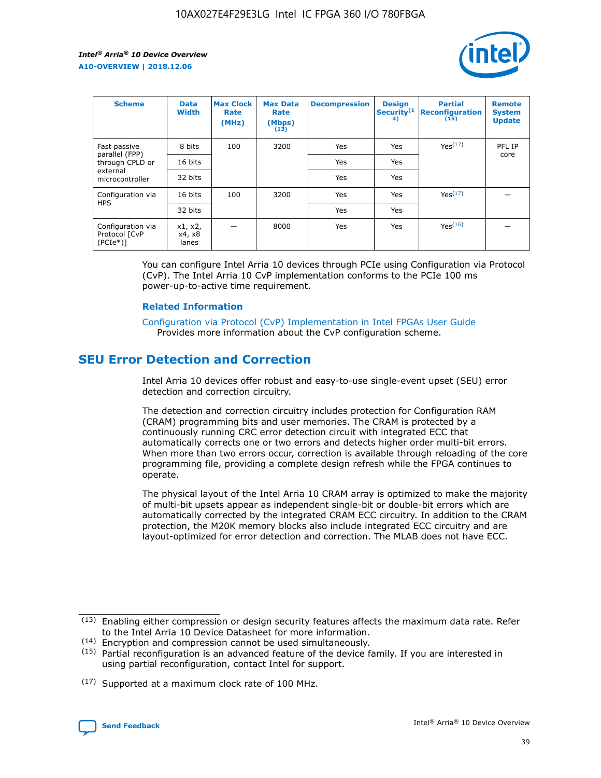

| <b>Scheme</b>                                    | <b>Data</b><br><b>Width</b> | <b>Max Clock</b><br>Rate<br>(MHz) | <b>Max Data</b><br>Rate<br>(Mbps)<br>(13) | <b>Decompression</b> | <b>Design</b><br>Security <sup>(1</sup><br>4) | <b>Partial</b><br><b>Reconfiguration</b><br>(15) | <b>Remote</b><br><b>System</b><br><b>Update</b> |
|--------------------------------------------------|-----------------------------|-----------------------------------|-------------------------------------------|----------------------|-----------------------------------------------|--------------------------------------------------|-------------------------------------------------|
| Fast passive                                     | 8 bits                      | 100                               | 3200                                      | <b>Yes</b>           | Yes                                           | Yes(17)                                          | PFL IP                                          |
| parallel (FPP)<br>through CPLD or                | 16 bits                     |                                   |                                           | Yes                  | Yes                                           |                                                  | core                                            |
| external<br>microcontroller                      | 32 bits                     |                                   |                                           | Yes                  | Yes                                           |                                                  |                                                 |
| Configuration via                                | 16 bits                     | 100                               | 3200                                      | Yes                  | Yes                                           | Yes <sup>(17)</sup>                              |                                                 |
| <b>HPS</b>                                       | 32 bits                     |                                   |                                           | Yes                  | Yes                                           |                                                  |                                                 |
| Configuration via<br>Protocol [CvP<br>$(PCIe^*)$ | x1, x2,<br>x4, x8<br>lanes  |                                   | 8000                                      | Yes                  | Yes                                           | Yes <sup>(16)</sup>                              |                                                 |

You can configure Intel Arria 10 devices through PCIe using Configuration via Protocol (CvP). The Intel Arria 10 CvP implementation conforms to the PCIe 100 ms power-up-to-active time requirement.

#### **Related Information**

[Configuration via Protocol \(CvP\) Implementation in Intel FPGAs User Guide](https://www.intel.com/content/www/us/en/programmable/documentation/dsu1441819344145.html#dsu1442269728522) Provides more information about the CvP configuration scheme.

# **SEU Error Detection and Correction**

Intel Arria 10 devices offer robust and easy-to-use single-event upset (SEU) error detection and correction circuitry.

The detection and correction circuitry includes protection for Configuration RAM (CRAM) programming bits and user memories. The CRAM is protected by a continuously running CRC error detection circuit with integrated ECC that automatically corrects one or two errors and detects higher order multi-bit errors. When more than two errors occur, correction is available through reloading of the core programming file, providing a complete design refresh while the FPGA continues to operate.

The physical layout of the Intel Arria 10 CRAM array is optimized to make the majority of multi-bit upsets appear as independent single-bit or double-bit errors which are automatically corrected by the integrated CRAM ECC circuitry. In addition to the CRAM protection, the M20K memory blocks also include integrated ECC circuitry and are layout-optimized for error detection and correction. The MLAB does not have ECC.

(14) Encryption and compression cannot be used simultaneously.

<sup>(17)</sup> Supported at a maximum clock rate of 100 MHz.



 $(13)$  Enabling either compression or design security features affects the maximum data rate. Refer to the Intel Arria 10 Device Datasheet for more information.

 $(15)$  Partial reconfiguration is an advanced feature of the device family. If you are interested in using partial reconfiguration, contact Intel for support.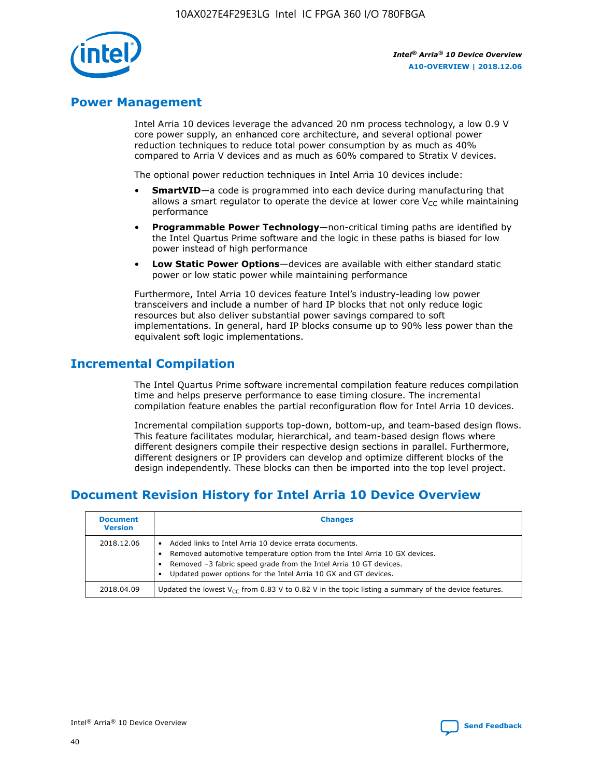

# **Power Management**

Intel Arria 10 devices leverage the advanced 20 nm process technology, a low 0.9 V core power supply, an enhanced core architecture, and several optional power reduction techniques to reduce total power consumption by as much as 40% compared to Arria V devices and as much as 60% compared to Stratix V devices.

The optional power reduction techniques in Intel Arria 10 devices include:

- **SmartVID**—a code is programmed into each device during manufacturing that allows a smart regulator to operate the device at lower core  $V_{CC}$  while maintaining performance
- **Programmable Power Technology**—non-critical timing paths are identified by the Intel Quartus Prime software and the logic in these paths is biased for low power instead of high performance
- **Low Static Power Options**—devices are available with either standard static power or low static power while maintaining performance

Furthermore, Intel Arria 10 devices feature Intel's industry-leading low power transceivers and include a number of hard IP blocks that not only reduce logic resources but also deliver substantial power savings compared to soft implementations. In general, hard IP blocks consume up to 90% less power than the equivalent soft logic implementations.

# **Incremental Compilation**

The Intel Quartus Prime software incremental compilation feature reduces compilation time and helps preserve performance to ease timing closure. The incremental compilation feature enables the partial reconfiguration flow for Intel Arria 10 devices.

Incremental compilation supports top-down, bottom-up, and team-based design flows. This feature facilitates modular, hierarchical, and team-based design flows where different designers compile their respective design sections in parallel. Furthermore, different designers or IP providers can develop and optimize different blocks of the design independently. These blocks can then be imported into the top level project.

# **Document Revision History for Intel Arria 10 Device Overview**

| <b>Document</b><br><b>Version</b> | <b>Changes</b>                                                                                                                                                                                                                                                              |
|-----------------------------------|-----------------------------------------------------------------------------------------------------------------------------------------------------------------------------------------------------------------------------------------------------------------------------|
| 2018.12.06                        | Added links to Intel Arria 10 device errata documents.<br>Removed automotive temperature option from the Intel Arria 10 GX devices.<br>Removed -3 fabric speed grade from the Intel Arria 10 GT devices.<br>Updated power options for the Intel Arria 10 GX and GT devices. |
| 2018.04.09                        | Updated the lowest $V_{CC}$ from 0.83 V to 0.82 V in the topic listing a summary of the device features.                                                                                                                                                                    |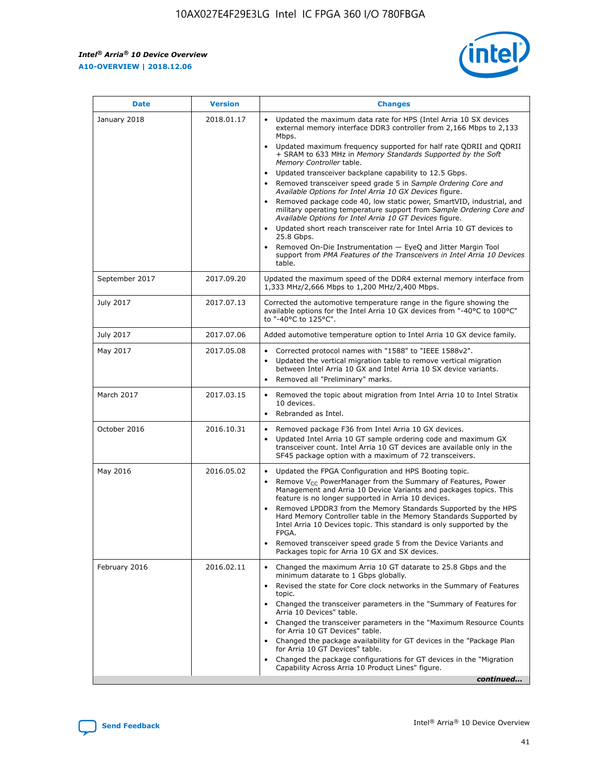$\overline{\phantom{a}}$ 

 $\mathsf{r}$ 



| January 2018<br>Updated the maximum data rate for HPS (Intel Arria 10 SX devices<br>2018.01.17<br>external memory interface DDR3 controller from 2,166 Mbps to 2,133<br>Mbps.<br>$\bullet$<br>+ SRAM to 633 MHz in Memory Standards Supported by the Soft<br>Memory Controller table.<br>Updated transceiver backplane capability to 12.5 Gbps.<br>$\bullet$<br>Removed transceiver speed grade 5 in Sample Ordering Core and<br>Available Options for Intel Arria 10 GX Devices figure.<br>Available Options for Intel Arria 10 GT Devices figure.<br>Updated short reach transceiver rate for Intel Arria 10 GT devices to<br>$\bullet$<br>25.8 Gbps.<br>Removed On-Die Instrumentation - EyeQ and Jitter Margin Tool<br>table.<br>2017.09.20<br>September 2017<br>1,333 MHz/2,666 Mbps to 1,200 MHz/2,400 Mbps.<br>July 2017<br>2017.07.13<br>Corrected the automotive temperature range in the figure showing the<br>available options for the Intel Arria 10 GX devices from "-40°C to 100°C"<br>to "-40°C to 125°C".<br>July 2017<br>2017.07.06<br>Added automotive temperature option to Intel Arria 10 GX device family.<br>2017.05.08<br>Corrected protocol names with "1588" to "IEEE 1588v2".<br>May 2017<br>$\bullet$<br>Updated the vertical migration table to remove vertical migration<br>$\bullet$<br>between Intel Arria 10 GX and Intel Arria 10 SX device variants.<br>Removed all "Preliminary" marks.<br>2017.03.15<br>March 2017<br>Removed the topic about migration from Intel Arria 10 to Intel Stratix<br>10 devices.<br>Rebranded as Intel.<br>$\bullet$<br>October 2016<br>2016.10.31<br>Removed package F36 from Intel Arria 10 GX devices.<br>$\bullet$<br>Updated Intel Arria 10 GT sample ordering code and maximum GX<br>$\bullet$<br>transceiver count. Intel Arria 10 GT devices are available only in the<br>SF45 package option with a maximum of 72 transceivers.<br>May 2016<br>2016.05.02<br>Updated the FPGA Configuration and HPS Booting topic.<br>Remove $V_{CC}$ PowerManager from the Summary of Features, Power<br>Management and Arria 10 Device Variants and packages topics. This<br>feature is no longer supported in Arria 10 devices.<br>Removed LPDDR3 from the Memory Standards Supported by the HPS<br>Hard Memory Controller table in the Memory Standards Supported by<br>Intel Arria 10 Devices topic. This standard is only supported by the<br>FPGA.<br>Removed transceiver speed grade 5 from the Device Variants and<br>Packages topic for Arria 10 GX and SX devices.<br>Changed the maximum Arria 10 GT datarate to 25.8 Gbps and the<br>February 2016<br>2016.02.11<br>minimum datarate to 1 Gbps globally.<br>Revised the state for Core clock networks in the Summary of Features<br>$\bullet$<br>topic.<br>• Changed the transceiver parameters in the "Summary of Features for<br>Arria 10 Devices" table.<br>for Arria 10 GT Devices" table.<br>• Changed the package availability for GT devices in the "Package Plan<br>for Arria 10 GT Devices" table.<br>Changed the package configurations for GT devices in the "Migration"<br>Capability Across Arria 10 Product Lines" figure. | <b>Date</b> | <b>Version</b> | <b>Changes</b>                                                                                                                                                                                                                                                                               |
|----------------------------------------------------------------------------------------------------------------------------------------------------------------------------------------------------------------------------------------------------------------------------------------------------------------------------------------------------------------------------------------------------------------------------------------------------------------------------------------------------------------------------------------------------------------------------------------------------------------------------------------------------------------------------------------------------------------------------------------------------------------------------------------------------------------------------------------------------------------------------------------------------------------------------------------------------------------------------------------------------------------------------------------------------------------------------------------------------------------------------------------------------------------------------------------------------------------------------------------------------------------------------------------------------------------------------------------------------------------------------------------------------------------------------------------------------------------------------------------------------------------------------------------------------------------------------------------------------------------------------------------------------------------------------------------------------------------------------------------------------------------------------------------------------------------------------------------------------------------------------------------------------------------------------------------------------------------------------------------------------------------------------------------------------------------------------------------------------------------------------------------------------------------------------------------------------------------------------------------------------------------------------------------------------------------------------------------------------------------------------------------------------------------------------------------------------------------------------------------------------------------------------------------------------------------------------------------------------------------------------------------------------------------------------------------------------------------------------------------------------------------------------------------------------------------------------------------------------------------------------------------------------------------------------------------------------------------------------------------------------------------------------------------------------------------------------------------------------------------------------------------------------------------|-------------|----------------|----------------------------------------------------------------------------------------------------------------------------------------------------------------------------------------------------------------------------------------------------------------------------------------------|
|                                                                                                                                                                                                                                                                                                                                                                                                                                                                                                                                                                                                                                                                                                                                                                                                                                                                                                                                                                                                                                                                                                                                                                                                                                                                                                                                                                                                                                                                                                                                                                                                                                                                                                                                                                                                                                                                                                                                                                                                                                                                                                                                                                                                                                                                                                                                                                                                                                                                                                                                                                                                                                                                                                                                                                                                                                                                                                                                                                                                                                                                                                                                                                |             |                | Updated maximum frequency supported for half rate QDRII and QDRII<br>Removed package code 40, low static power, SmartVID, industrial, and<br>military operating temperature support from Sample Ordering Core and<br>support from PMA Features of the Transceivers in Intel Arria 10 Devices |
|                                                                                                                                                                                                                                                                                                                                                                                                                                                                                                                                                                                                                                                                                                                                                                                                                                                                                                                                                                                                                                                                                                                                                                                                                                                                                                                                                                                                                                                                                                                                                                                                                                                                                                                                                                                                                                                                                                                                                                                                                                                                                                                                                                                                                                                                                                                                                                                                                                                                                                                                                                                                                                                                                                                                                                                                                                                                                                                                                                                                                                                                                                                                                                |             |                | Updated the maximum speed of the DDR4 external memory interface from                                                                                                                                                                                                                         |
|                                                                                                                                                                                                                                                                                                                                                                                                                                                                                                                                                                                                                                                                                                                                                                                                                                                                                                                                                                                                                                                                                                                                                                                                                                                                                                                                                                                                                                                                                                                                                                                                                                                                                                                                                                                                                                                                                                                                                                                                                                                                                                                                                                                                                                                                                                                                                                                                                                                                                                                                                                                                                                                                                                                                                                                                                                                                                                                                                                                                                                                                                                                                                                |             |                |                                                                                                                                                                                                                                                                                              |
|                                                                                                                                                                                                                                                                                                                                                                                                                                                                                                                                                                                                                                                                                                                                                                                                                                                                                                                                                                                                                                                                                                                                                                                                                                                                                                                                                                                                                                                                                                                                                                                                                                                                                                                                                                                                                                                                                                                                                                                                                                                                                                                                                                                                                                                                                                                                                                                                                                                                                                                                                                                                                                                                                                                                                                                                                                                                                                                                                                                                                                                                                                                                                                |             |                |                                                                                                                                                                                                                                                                                              |
|                                                                                                                                                                                                                                                                                                                                                                                                                                                                                                                                                                                                                                                                                                                                                                                                                                                                                                                                                                                                                                                                                                                                                                                                                                                                                                                                                                                                                                                                                                                                                                                                                                                                                                                                                                                                                                                                                                                                                                                                                                                                                                                                                                                                                                                                                                                                                                                                                                                                                                                                                                                                                                                                                                                                                                                                                                                                                                                                                                                                                                                                                                                                                                |             |                |                                                                                                                                                                                                                                                                                              |
|                                                                                                                                                                                                                                                                                                                                                                                                                                                                                                                                                                                                                                                                                                                                                                                                                                                                                                                                                                                                                                                                                                                                                                                                                                                                                                                                                                                                                                                                                                                                                                                                                                                                                                                                                                                                                                                                                                                                                                                                                                                                                                                                                                                                                                                                                                                                                                                                                                                                                                                                                                                                                                                                                                                                                                                                                                                                                                                                                                                                                                                                                                                                                                |             |                |                                                                                                                                                                                                                                                                                              |
|                                                                                                                                                                                                                                                                                                                                                                                                                                                                                                                                                                                                                                                                                                                                                                                                                                                                                                                                                                                                                                                                                                                                                                                                                                                                                                                                                                                                                                                                                                                                                                                                                                                                                                                                                                                                                                                                                                                                                                                                                                                                                                                                                                                                                                                                                                                                                                                                                                                                                                                                                                                                                                                                                                                                                                                                                                                                                                                                                                                                                                                                                                                                                                |             |                |                                                                                                                                                                                                                                                                                              |
|                                                                                                                                                                                                                                                                                                                                                                                                                                                                                                                                                                                                                                                                                                                                                                                                                                                                                                                                                                                                                                                                                                                                                                                                                                                                                                                                                                                                                                                                                                                                                                                                                                                                                                                                                                                                                                                                                                                                                                                                                                                                                                                                                                                                                                                                                                                                                                                                                                                                                                                                                                                                                                                                                                                                                                                                                                                                                                                                                                                                                                                                                                                                                                |             |                |                                                                                                                                                                                                                                                                                              |
|                                                                                                                                                                                                                                                                                                                                                                                                                                                                                                                                                                                                                                                                                                                                                                                                                                                                                                                                                                                                                                                                                                                                                                                                                                                                                                                                                                                                                                                                                                                                                                                                                                                                                                                                                                                                                                                                                                                                                                                                                                                                                                                                                                                                                                                                                                                                                                                                                                                                                                                                                                                                                                                                                                                                                                                                                                                                                                                                                                                                                                                                                                                                                                |             |                | Changed the transceiver parameters in the "Maximum Resource Counts"<br>continued                                                                                                                                                                                                             |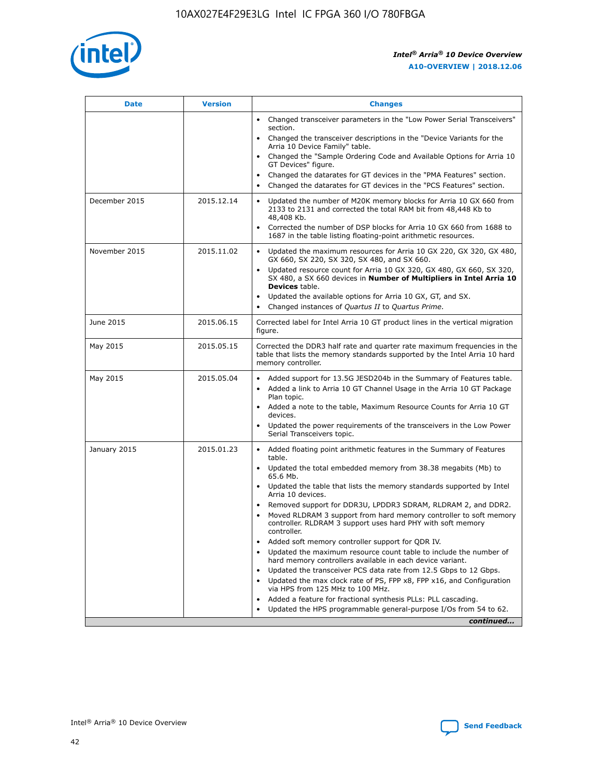

| <b>Date</b>   | <b>Version</b> | <b>Changes</b>                                                                                                                                                                   |
|---------------|----------------|----------------------------------------------------------------------------------------------------------------------------------------------------------------------------------|
|               |                | • Changed transceiver parameters in the "Low Power Serial Transceivers"<br>section.                                                                                              |
|               |                | • Changed the transceiver descriptions in the "Device Variants for the<br>Arria 10 Device Family" table.                                                                         |
|               |                | Changed the "Sample Ordering Code and Available Options for Arria 10<br>GT Devices" figure.                                                                                      |
|               |                | Changed the datarates for GT devices in the "PMA Features" section.                                                                                                              |
|               |                | Changed the datarates for GT devices in the "PCS Features" section.<br>$\bullet$                                                                                                 |
| December 2015 | 2015.12.14     | Updated the number of M20K memory blocks for Arria 10 GX 660 from<br>$\bullet$<br>2133 to 2131 and corrected the total RAM bit from 48,448 Kb to<br>48,408 Kb.                   |
|               |                | Corrected the number of DSP blocks for Arria 10 GX 660 from 1688 to<br>$\bullet$<br>1687 in the table listing floating-point arithmetic resources.                               |
| November 2015 | 2015.11.02     | Updated the maximum resources for Arria 10 GX 220, GX 320, GX 480,<br>$\bullet$<br>GX 660, SX 220, SX 320, SX 480, and SX 660.                                                   |
|               |                | Updated resource count for Arria 10 GX 320, GX 480, GX 660, SX 320,<br>$\bullet$<br>SX 480, a SX 660 devices in Number of Multipliers in Intel Arria 10<br><b>Devices</b> table. |
|               |                | Updated the available options for Arria 10 GX, GT, and SX.<br>$\bullet$                                                                                                          |
|               |                | Changed instances of Quartus II to Quartus Prime.<br>$\bullet$                                                                                                                   |
| June 2015     | 2015.06.15     | Corrected label for Intel Arria 10 GT product lines in the vertical migration<br>figure.                                                                                         |
| May 2015      | 2015.05.15     | Corrected the DDR3 half rate and quarter rate maximum frequencies in the<br>table that lists the memory standards supported by the Intel Arria 10 hard<br>memory controller.     |
| May 2015      | 2015.05.04     | • Added support for 13.5G JESD204b in the Summary of Features table.<br>• Added a link to Arria 10 GT Channel Usage in the Arria 10 GT Package<br>Plan topic.                    |
|               |                | • Added a note to the table, Maximum Resource Counts for Arria 10 GT<br>devices.                                                                                                 |
|               |                | Updated the power requirements of the transceivers in the Low Power<br>Serial Transceivers topic.                                                                                |
| January 2015  | 2015.01.23     | • Added floating point arithmetic features in the Summary of Features<br>table.                                                                                                  |
|               |                | • Updated the total embedded memory from 38.38 megabits (Mb) to<br>65.6 Mb.                                                                                                      |
|               |                | • Updated the table that lists the memory standards supported by Intel<br>Arria 10 devices.                                                                                      |
|               |                | Removed support for DDR3U, LPDDR3 SDRAM, RLDRAM 2, and DDR2.                                                                                                                     |
|               |                | Moved RLDRAM 3 support from hard memory controller to soft memory<br>controller. RLDRAM 3 support uses hard PHY with soft memory<br>controller.                                  |
|               |                | Added soft memory controller support for QDR IV.                                                                                                                                 |
|               |                | Updated the maximum resource count table to include the number of<br>hard memory controllers available in each device variant.                                                   |
|               |                | Updated the transceiver PCS data rate from 12.5 Gbps to 12 Gbps.<br>$\bullet$                                                                                                    |
|               |                | Updated the max clock rate of PS, FPP x8, FPP x16, and Configuration<br>via HPS from 125 MHz to 100 MHz.                                                                         |
|               |                | Added a feature for fractional synthesis PLLs: PLL cascading.                                                                                                                    |
|               |                | Updated the HPS programmable general-purpose I/Os from 54 to 62.                                                                                                                 |
|               |                | continued                                                                                                                                                                        |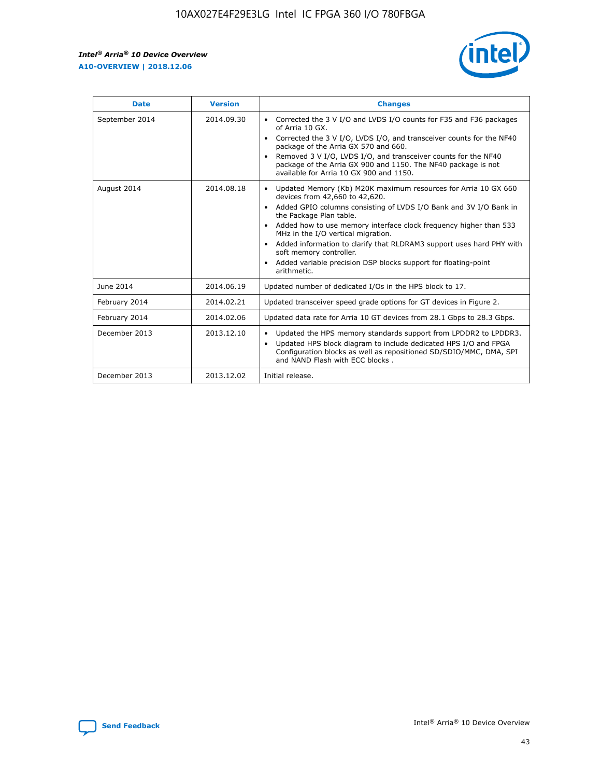

| <b>Date</b>    | <b>Version</b> | <b>Changes</b>                                                                                                                                                                                                                                                                                                                                                                                                                                                                                                                                                   |
|----------------|----------------|------------------------------------------------------------------------------------------------------------------------------------------------------------------------------------------------------------------------------------------------------------------------------------------------------------------------------------------------------------------------------------------------------------------------------------------------------------------------------------------------------------------------------------------------------------------|
| September 2014 | 2014.09.30     | Corrected the 3 V I/O and LVDS I/O counts for F35 and F36 packages<br>$\bullet$<br>of Arria 10 GX.<br>Corrected the 3 V I/O, LVDS I/O, and transceiver counts for the NF40<br>$\bullet$<br>package of the Arria GX 570 and 660.<br>Removed 3 V I/O, LVDS I/O, and transceiver counts for the NF40<br>$\bullet$<br>package of the Arria GX 900 and 1150. The NF40 package is not<br>available for Arria 10 GX 900 and 1150.                                                                                                                                       |
| August 2014    | 2014.08.18     | Updated Memory (Kb) M20K maximum resources for Arria 10 GX 660<br>$\bullet$<br>devices from 42,660 to 42,620.<br>Added GPIO columns consisting of LVDS I/O Bank and 3V I/O Bank in<br>$\bullet$<br>the Package Plan table.<br>Added how to use memory interface clock frequency higher than 533<br>$\bullet$<br>MHz in the I/O vertical migration.<br>Added information to clarify that RLDRAM3 support uses hard PHY with<br>$\bullet$<br>soft memory controller.<br>Added variable precision DSP blocks support for floating-point<br>$\bullet$<br>arithmetic. |
| June 2014      | 2014.06.19     | Updated number of dedicated I/Os in the HPS block to 17.                                                                                                                                                                                                                                                                                                                                                                                                                                                                                                         |
| February 2014  | 2014.02.21     | Updated transceiver speed grade options for GT devices in Figure 2.                                                                                                                                                                                                                                                                                                                                                                                                                                                                                              |
| February 2014  | 2014.02.06     | Updated data rate for Arria 10 GT devices from 28.1 Gbps to 28.3 Gbps.                                                                                                                                                                                                                                                                                                                                                                                                                                                                                           |
| December 2013  | 2013.12.10     | Updated the HPS memory standards support from LPDDR2 to LPDDR3.<br>٠<br>Updated HPS block diagram to include dedicated HPS I/O and FPGA<br>$\bullet$<br>Configuration blocks as well as repositioned SD/SDIO/MMC, DMA, SPI<br>and NAND Flash with ECC blocks.                                                                                                                                                                                                                                                                                                    |
| December 2013  | 2013.12.02     | Initial release.                                                                                                                                                                                                                                                                                                                                                                                                                                                                                                                                                 |